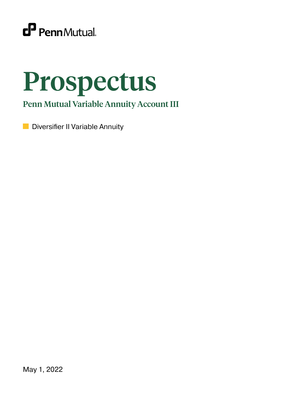

# Prospectus

Penn Mutual Variable Annuity Account III

**Diversifier II Variable Annuity** 

May 1, 2022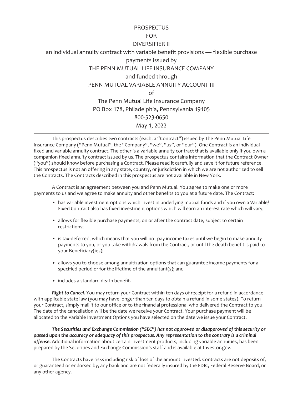# **PROSPECTUS** FOR DIVERSIFIER II

an individual annuity contract with variable benefit provisions — flexible purchase payments issued by THE PENN MUTUAL LIFE INSURANCE COMPANY and funded through PENN MUTUAL VARIABLE ANNUITY ACCOUNT III  $\cap$ f The Penn Mutual Life Insurance Company PO Box 178, Philadelphia, Pennsylvania 19105 800-523-0650 May 1, 2022

This prospectus describes two contracts (each, a "Contract") issued by The Penn Mutual Life Insurance Company ("Penn Mutual", the "Company", "we", "us", or "our"). One Contract is an individual fixed and variable annuity contract. The other is a variable annuity contract that is available only if you own a companion fixed annuity contract issued by us. The prospectus contains information that the Contract Owner ("you") should know before purchasing a Contract. Please read it carefully and save it for future reference. This prospectus is not an offering in any state, country, or jurisdiction in which we are not authorized to sell the Contracts. The Contracts described in this prospectus are not available in New York.

A Contract is an agreement between you and Penn Mutual. You agree to make one or more payments to us and we agree to make annuity and other benefits to you at a future date. The Contract:

- has variable investment options which invest in underlying mutual funds and if you own a Variable/ Fixed Contract also has fixed investment options which will earn an interest rate which will vary;
- allows for flexible purchase payments, on or after the contract date, subject to certain restrictions;
- is tax-deferred, which means that you will not pay income taxes until we begin to make annuity payments to you, or you take withdrawals from the Contract, or until the death benefit is paid to your Beneficiary(ies);
- allows you to choose among annuitization options that can guarantee income payments for a specified period or for the lifetime of the annuitant(s); and
- includes a standard death benefit.

*Right to Cancel.* You may return your Contract within ten days of receipt for a refund in accordance with applicable state law (you may have longer than ten days to obtain a refund in some states). To return your Contract, simply mail it to our office or to the financial professional who delivered the Contract to you. The date of the cancellation will be the date we receive your Contract. Your purchase payment will be allocated to the Variable Investment Options you have selected on the date we issue your Contract.

*The Securities and Exchange Commission ("SEC") has not approved or disapproved of this security or passed upon the accuracy or adequacy of this prospectus. Any representation to the contrary is a criminal offense.* Additional information about certain investment products, including variable annuities, has been prepared by the Securities and Exchange Commission's staff and is available at Investor.gov.

The Contracts have risks including risk of loss of the amount invested. Contracts are not deposits of, or guaranteed or endorsed by, any bank and are not federally insured by the FDIC, Federal Reserve Board, or any other agency.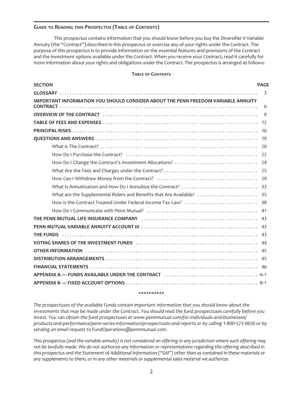#### **GUIDE TO READING THIS PROSPECTUS (TABLE OF CONTENTS)**

This prospectus contains information that you should know before you buy the Diversifier II Variable Annuity (the "Contract") described in this prospectus or exercise any of your rights under the Contract. The purpose of this prospectus is to provide information on the essential features and provisions of the Contract and the investment options available under the Contract. When you receive your Contract, read it carefully for more information about your rights and obligations under the Contract. The prospectus is arranged as follows:

#### **TABLE OF CONTENTS**

| <b>SECTION</b>                                                                    | <b>PAGE</b> |
|-----------------------------------------------------------------------------------|-------------|
| IMPORTANT INFORMATION YOU SHOULD CONSIDER ABOUT THE PENN FREEDOM VARIABLE ANNUITY | 3           |
|                                                                                   | 6           |
|                                                                                   | -9          |
|                                                                                   |             |
|                                                                                   |             |
|                                                                                   |             |
|                                                                                   |             |
|                                                                                   |             |
|                                                                                   |             |
|                                                                                   |             |
|                                                                                   |             |
|                                                                                   |             |
|                                                                                   |             |
|                                                                                   |             |
|                                                                                   |             |
|                                                                                   |             |
|                                                                                   |             |
|                                                                                   |             |
|                                                                                   |             |
|                                                                                   |             |
|                                                                                   |             |
|                                                                                   |             |
|                                                                                   |             |
|                                                                                   |             |
|                                                                                   |             |

#### **\*\*\*\*\*\*\*\*\*\***

*The prospectuses of the available Funds contain important information that you should know about the investments that may be made under the Contract. You should read the fund prospectuses carefully before you invest. You can obtain the fund prospectuses at www.pennmutual.com/for-individuals-and-businesses/ products-and-performance/penn-series-information/prospectuses-and-reports or by calling 1-800-523-0650 or by sending an email request to FundOperations@pennmutual.com.*

*This prospectus (and the variable annuity) is not considered an offering in any jurisdiction where such offering may not be lawfully made. We do not authorize any information or representations regarding the offering described in this prospectus and the Statement of Additional Information ("SAI") other than as contained in these materials or any supplements to them, or in any other materials or supplemental sales material we authorize.*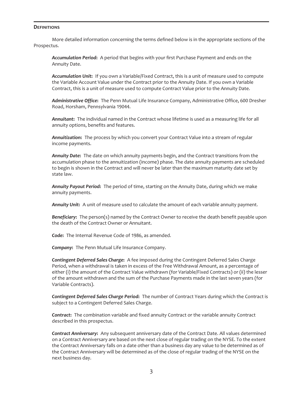#### <span id="page-3-0"></span>**DEFINITIONS**

More detailed information concerning the terms defined below is in the appropriate sections of the Prospectus.

*Accumulation Period***:** A period that begins with your first Purchase Payment and ends on the Annuity Date.

*Accumulation Unit***:** If you own a Variable/Fixed Contract, this is a unit of measure used to compute the Variable Account Value under the Contract prior to the Annuity Date. If you own a Variable Contract, this is a unit of measure used to compute Contract Value prior to the Annuity Date.

*Administrative Office***:** The Penn Mutual Life Insurance Company, Administrative Office, 600 Dresher Road, Horsham, Pennsylvania 19044.

*Annuitant***:** The individual named in the Contract whose lifetime is used as a measuring life for all annuity options, benefits and features.

*Annuitization***:** The process by which you convert your Contract Value into a stream of regular income payments.

*Annuity Date***:** The date on which annuity payments begin, and the Contract transitions from the accumulation phase to the annuitization (income) phase. The date annuity payments are scheduled to begin is shown in the Contract and will never be later than the maximum maturity date set by state law.

*Annuity Payout Period***:** The period of time, starting on the Annuity Date, during which we make annuity payments.

*Annuity Unit***:** A unit of measure used to calculate the amount of each variable annuity payment.

*Beneficiary***:** The person(s) named by the Contract Owner to receive the death benefit payable upon the death of the Contract Owner or Annuitant.

*Code***:** The Internal Revenue Code of 1986, as amended.

*Company***:** The Penn Mutual Life Insurance Company.

*Contingent Deferred Sales Charge***:** A fee imposed during the Contingent Deferred Sales Charge Period, when a withdrawal is taken in excess of the Free Withdrawal Amount, as a percentage of either (i) the amount of the Contract Value withdrawn (for Variable/Fixed Contracts) or (ii) the lesser of the amount withdrawn and the sum of the Purchase Payments made in the last seven years (for Variable Contracts).

*Contingent Deferred Sales Charge Period***:** The number of Contract Years during which the Contract is subject to a Contingent Deferred Sales Charge.

*Contract***:** The combination variable and fixed annuity Contract or the variable annuity Contract described in this prospectus.

*Contract Anniversary***:** Any subsequent anniversary date of the Contract Date. All values determined on a Contract Anniversary are based on the next close of regular trading on the NYSE. To the extent the Contract Anniversary falls on a date other than a business day any value to be determined as of the Contract Anniversary will be determined as of the close of regular trading of the NYSE on the next business day.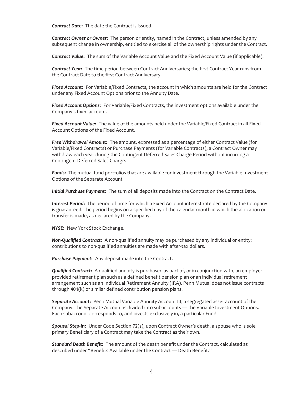*Contract Date***:** The date the Contract is issued.

*Contract Owner or Owner***:** The person or entity, named in the Contract, unless amended by any subsequent change in ownership, entitled to exercise all of the ownership rights under the Contract.

*Contract Value***:** The sum of the Variable Account Value and the Fixed Account Value (if applicable).

*Contract Year***:** The time period between Contract Anniversaries; the first Contract Year runs from the Contract Date to the first Contract Anniversary.

*Fixed Account***:** For Variable/Fixed Contracts, the account in which amounts are held for the Contract under any Fixed Account Options prior to the Annuity Date.

*Fixed Account Options***:** For Variable/Fixed Contracts, the investment options available under the Company's fixed account.

*Fixed Account Value***:** The value of the amounts held under the Variable/Fixed Contract in all Fixed Account Options of the Fixed Account.

*Free Withdrawal Amount***:** The amount, expressed as a percentage of either Contract Value (for Variable/Fixed Contracts) or Purchase Payments (for Variable Contracts), a Contract Owner may withdraw each year during the Contingent Deferred Sales Charge Period without incurring a Contingent Deferred Sales Charge.

*Funds***:** The mutual fund portfolios that are available for investment through the Variable Investment Options of the Separate Account.

*Initial Purchase Payment***:** The sum of all deposits made into the Contract on the Contract Date.

*Interest Period***:** The period of time for which a Fixed Account interest rate declared by the Company is guaranteed. The period begins on a specified day of the calendar month in which the allocation or transfer is made, as declared by the Company.

*NYSE***:** New York Stock Exchange.

*Non-Qualified Contract***:** A non-qualified annuity may be purchased by any individual or entity; contributions to non-qualified annuities are made with after-tax dollars.

*Purchase Payment***:** Any deposit made into the Contract.

*Qualified Contract***:** A qualified annuity is purchased as part of, or in conjunction with, an employer provided retirement plan such as a defined benefit pension plan or an individual retirement arrangement such as an Individual Retirement Annuity (IRA). Penn Mutual does not issue contracts through 401(k) or similar defined contribution pension plans.

*Separate Account***:** Penn Mutual Variable Annuity Account III, a segregated asset account of the Company. The Separate Account is divided into subaccounts — the Variable Investment Options. Each subaccount corresponds to, and invests exclusively in, a particular Fund.

*Spousal Step-In***:** Under Code Section 72(s), upon Contract Owner's death, a spouse who is sole primary Beneficiary of a Contract may take the Contract as their own.

*Standard Death Benefit***:** The amount of the death benefit under the Contract, calculated as described under "Benefits Available under the Contract — Death Benefit."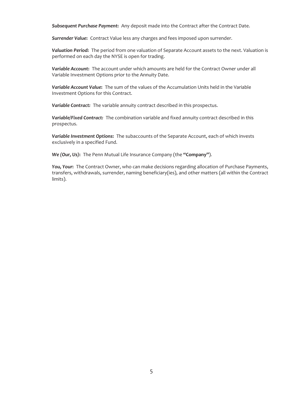*Subsequent Purchase Payment***:** Any deposit made into the Contract after the Contract Date.

*Surrender Value***:** Contract Value less any charges and fees imposed upon surrender.

*Valuation Period***:** The period from one valuation of Separate Account assets to the next. Valuation is performed on each day the NYSE is open for trading.

*Variable Account***:** The account under which amounts are held for the Contract Owner under all Variable Investment Options prior to the Annuity Date.

*Variable Account Value***:** The sum of the values of the Accumulation Units held in the Variable Investment Options for this Contract.

*Variable Contract:* The variable annuity contract described in this prospectus.

*Variable/Fixed Contract:* The combination variable and fixed annuity contract described in this prospectus.

*Variable Investment Options***:** The subaccounts of the Separate Account, each of which invests exclusively in a specified Fund.

*We (Our, Us)***:** The Penn Mutual Life Insurance Company (the **"Company"**).

*You, Your***:** The Contract Owner, who can make decisions regarding allocation of Purchase Payments, transfers, withdrawals, surrender, naming beneficiary(ies), and other matters (all within the Contract limits).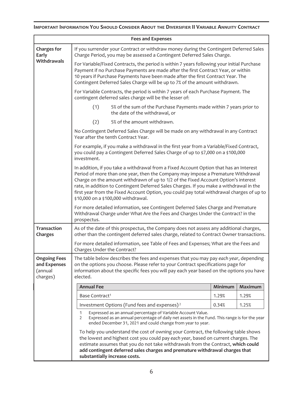# <span id="page-6-0"></span>**IMPORTANT INFORMATION YOU SHOULD CONSIDER ABOUT THE DIVERSIFIER II VARIABLE ANNUITY CONTRACT**

| <b>Fees and Expenses</b>                                   |                                                                                                                                                                                                                                                                                                                                                                                                                                                                                                 |       |         |                |  |  |
|------------------------------------------------------------|-------------------------------------------------------------------------------------------------------------------------------------------------------------------------------------------------------------------------------------------------------------------------------------------------------------------------------------------------------------------------------------------------------------------------------------------------------------------------------------------------|-------|---------|----------------|--|--|
| <b>Charges for</b><br>Early                                | If you surrender your Contract or withdraw money during the Contingent Deferred Sales<br>Charge Period, you may be assessed a Contingent Deferred Sales Charge.                                                                                                                                                                                                                                                                                                                                 |       |         |                |  |  |
| Withdrawals                                                | For Variable/Fixed Contracts, the period is within 7 years following your initial Purchase<br>Payment if no Purchase Payments are made after the first Contract Year, or within<br>10 years if Purchase Payments have been made after the first Contract Year. The<br>Contingent Deferred Sales Charge will be up to 7% of the amount withdrawn.                                                                                                                                                |       |         |                |  |  |
|                                                            | For Variable Contracts, the period is within 7 years of each Purchase Payment. The<br>contingent deferred sales charge will be the lesser of:                                                                                                                                                                                                                                                                                                                                                   |       |         |                |  |  |
|                                                            | (1)<br>5% of the sum of the Purchase Payments made within 7 years prior to<br>the date of the withdrawal, or                                                                                                                                                                                                                                                                                                                                                                                    |       |         |                |  |  |
|                                                            | (2)<br>5% of the amount withdrawn.                                                                                                                                                                                                                                                                                                                                                                                                                                                              |       |         |                |  |  |
|                                                            | No Contingent Deferred Sales Charge will be made on any withdrawal in any Contract<br>Year after the tenth Contract Year.                                                                                                                                                                                                                                                                                                                                                                       |       |         |                |  |  |
|                                                            | For example, if you make a withdrawal in the first year from a Variable/Fixed Contract,<br>you could pay a Contingent Deferred Sales Charge of up to \$7,000 on a \$100,000<br>investment.                                                                                                                                                                                                                                                                                                      |       |         |                |  |  |
|                                                            | In addition, if you take a withdrawal from a Fixed Account Option that has an Interest<br>Period of more than one year, then the Company may impose a Premature Withdrawal<br>Charge on the amount withdrawn of up to 1/2 of the Fixed Account Option's interest<br>rate, in addition to Contingent Deferred Sales Charges. If you make a withdrawal in the<br>first year from the Fixed Account Option, you could pay total withdrawal charges of up to<br>\$10,000 on a \$100,000 withdrawal. |       |         |                |  |  |
|                                                            | For more detailed information, see Contingent Deferred Sales Charge and Premature<br>Withdrawal Charge under What Are the Fees and Charges Under the Contract? in the<br>prospectus.                                                                                                                                                                                                                                                                                                            |       |         |                |  |  |
| <b>Transaction</b><br>Charges                              | As of the date of this prospectus, the Company does not assess any additional charges,<br>other than the contingent deferred sales charge, related to Contract Owner transactions.                                                                                                                                                                                                                                                                                                              |       |         |                |  |  |
|                                                            | For more detailed information, see Table of Fees and Expenses; What are the Fees and<br>Charges Under the Contract?                                                                                                                                                                                                                                                                                                                                                                             |       |         |                |  |  |
| <b>Ongoing Fees</b><br>and Expenses<br>(annual<br>charges) | The table below describes the fees and expenses that you may pay each year, depending<br>on the options you choose. Please refer to your Contract specifications page for<br>information about the specific fees you will pay each year based on the options you have<br>elected.                                                                                                                                                                                                               |       |         |                |  |  |
|                                                            | <b>Annual Fee</b>                                                                                                                                                                                                                                                                                                                                                                                                                                                                               |       | Minimum | <b>Maximum</b> |  |  |
|                                                            | Base Contract <sup>1</sup>                                                                                                                                                                                                                                                                                                                                                                                                                                                                      |       | 1.29%   | 1.29%          |  |  |
|                                                            | 0.34%                                                                                                                                                                                                                                                                                                                                                                                                                                                                                           | 1.25% |         |                |  |  |
|                                                            | Expressed as an annual percentage of Variable Account Value.<br>1<br>Expressed as an annual percentage of daily net assets in the Fund. This range is for the year<br>2<br>ended December 31, 2021 and could change from year to year.                                                                                                                                                                                                                                                          |       |         |                |  |  |
|                                                            | To help you understand the cost of owning your Contract, the following table shows<br>the lowest and highest cost you could pay each year, based on current charges. The<br>estimate assumes that you do not take withdrawals from the Contract, which could<br>add contingent deferred sales charges and premature withdrawal charges that<br>substantially increase costs.                                                                                                                    |       |         |                |  |  |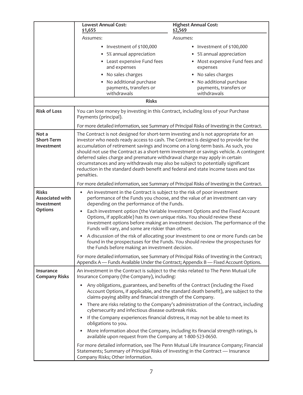|                                          | <b>Lowest Annual Cost:</b><br>\$1,655                                                                                                                                       | <b>Highest Annual Cost:</b><br>\$2,569                                                                                                                                |  |  |  |  |
|------------------------------------------|-----------------------------------------------------------------------------------------------------------------------------------------------------------------------------|-----------------------------------------------------------------------------------------------------------------------------------------------------------------------|--|--|--|--|
|                                          | Assumes:                                                                                                                                                                    | Assumes:                                                                                                                                                              |  |  |  |  |
|                                          | Investment of \$100,000<br>$\bullet$                                                                                                                                        | • Investment of \$100,000                                                                                                                                             |  |  |  |  |
|                                          | 5% annual appreciation                                                                                                                                                      | • 5% annual appreciation                                                                                                                                              |  |  |  |  |
|                                          | Least expensive Fund fees<br>$\bullet$                                                                                                                                      | • Most expensive Fund fees and                                                                                                                                        |  |  |  |  |
|                                          | and expenses                                                                                                                                                                | expenses                                                                                                                                                              |  |  |  |  |
|                                          | No sales charges<br>٠<br>No additional purchase                                                                                                                             | • No sales charges<br>• No additional purchase                                                                                                                        |  |  |  |  |
|                                          | payments, transfers or                                                                                                                                                      | payments, transfers or                                                                                                                                                |  |  |  |  |
|                                          | withdrawals                                                                                                                                                                 | withdrawals                                                                                                                                                           |  |  |  |  |
|                                          | <b>Risks</b>                                                                                                                                                                |                                                                                                                                                                       |  |  |  |  |
| <b>Risk of Loss</b>                      | You can lose money by investing in this Contract, including loss of your Purchase<br>Payments (principal).                                                                  |                                                                                                                                                                       |  |  |  |  |
|                                          | For more detailed information, see Summary of Principal Risks of Investing in the Contract.                                                                                 |                                                                                                                                                                       |  |  |  |  |
| Not a<br><b>Short-Term</b>               | The Contract is not designed for short-term investing and is not appropriate for an<br>investor who needs ready access to cash. The Contract is designed to provide for the |                                                                                                                                                                       |  |  |  |  |
| Investment                               | accumulation of retirement savings and income on a long-term basis. As such, you                                                                                            |                                                                                                                                                                       |  |  |  |  |
|                                          |                                                                                                                                                                             | should not use the Contract as a short-term investment or savings vehicle. A contingent                                                                               |  |  |  |  |
|                                          | deferred sales charge and premature withdrawal charge may apply in certain<br>circumstances and any withdrawals may also be subject to potentially significant              |                                                                                                                                                                       |  |  |  |  |
|                                          | reduction in the standard death benefit and federal and state income taxes and tax                                                                                          |                                                                                                                                                                       |  |  |  |  |
|                                          | penalties.                                                                                                                                                                  |                                                                                                                                                                       |  |  |  |  |
|                                          | For more detailed information, see Summary of Principal Risks of Investing in the Contract.                                                                                 |                                                                                                                                                                       |  |  |  |  |
| <b>Risks</b><br><b>Associated with</b>   | An investment in the Contract is subject to the risk of poor investment<br>performance of the Funds you choose, and the value of an investment can vary                     |                                                                                                                                                                       |  |  |  |  |
| Investment                               | depending on the performance of the Funds.                                                                                                                                  |                                                                                                                                                                       |  |  |  |  |
| <b>Options</b>                           | Each investment option (the Variable Investment Options and the Fixed Account<br>$\bullet$                                                                                  |                                                                                                                                                                       |  |  |  |  |
|                                          | Options, if applicable) has its own unique risks. You should review these                                                                                                   | investment options before making an investment decision. The performance of the                                                                                       |  |  |  |  |
|                                          | Funds will vary, and some are riskier than others.                                                                                                                          |                                                                                                                                                                       |  |  |  |  |
|                                          | $\bullet$                                                                                                                                                                   | A discussion of the risk of allocating your investment to one or more Funds can be<br>found in the prospectuses for the Funds. You should review the prospectuses for |  |  |  |  |
|                                          | the Funds before making an investment decision.                                                                                                                             |                                                                                                                                                                       |  |  |  |  |
|                                          | For more detailed information, see Summary of Principal Risks of Investing in the Contract;                                                                                 |                                                                                                                                                                       |  |  |  |  |
|                                          | Appendix A - Funds Available Under the Contract; Appendix B - Fixed Account Options.                                                                                        |                                                                                                                                                                       |  |  |  |  |
| <b>Insurance</b><br><b>Company Risks</b> | An investment in the Contract is subject to the risks related to The Penn Mutual Life<br>Insurance Company (the Company), including:                                        |                                                                                                                                                                       |  |  |  |  |
|                                          |                                                                                                                                                                             | Any obligations, guarantees, and benefits of the Contract (including the Fixed<br>Account Options, if applicable, and the standard death benefit), are subject to the |  |  |  |  |
|                                          | claims-paying ability and financial strength of the Company.                                                                                                                |                                                                                                                                                                       |  |  |  |  |
|                                          | cybersecurity and infectious disease outbreak risks.                                                                                                                        | • There are risks relating to the Company's administration of the Contract, including                                                                                 |  |  |  |  |
|                                          | If the Company experiences financial distress, it may not be able to meet its<br>obligations to you.                                                                        |                                                                                                                                                                       |  |  |  |  |
|                                          | available upon request from the Company at 1-800-523-0650.                                                                                                                  | More information about the Company, including its financial strength ratings, is                                                                                      |  |  |  |  |
|                                          | Statements; Summary of Principal Risks of Investing in the Contract - Insurance<br>Company Risks; Other Information.                                                        | For more detailed information, see The Penn Mutual Life Insurance Company; Financial                                                                                  |  |  |  |  |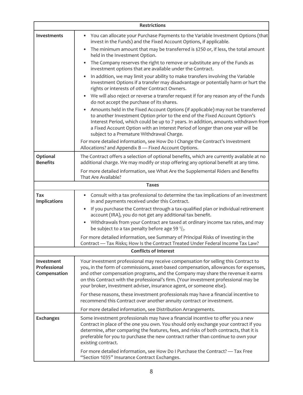| <b>Restrictions</b>                        |                                                                                                                                                                                                                                                                                                                                                                                                                            |  |  |
|--------------------------------------------|----------------------------------------------------------------------------------------------------------------------------------------------------------------------------------------------------------------------------------------------------------------------------------------------------------------------------------------------------------------------------------------------------------------------------|--|--|
| <b>Investments</b>                         | You can allocate your Purchase Payments to the Variable Investment Options (that<br>$\bullet$<br>invest in the Funds) and the Fixed Account Options, if applicable.                                                                                                                                                                                                                                                        |  |  |
|                                            | The minimum amount that may be transferred is \$250 or, if less, the total amount<br>$\bullet$<br>held in the Investment Option.                                                                                                                                                                                                                                                                                           |  |  |
|                                            | The Company reserves the right to remove or substitute any of the Funds as<br>investment options that are available under the Contract.                                                                                                                                                                                                                                                                                    |  |  |
|                                            | In addition, we may limit your ability to make transfers involving the Variable<br>Investment Options if a transfer may disadvantage or potentially harm or hurt the<br>rights or interests of other Contract Owners.                                                                                                                                                                                                      |  |  |
|                                            | We will also reject or reverse a transfer request if for any reason any of the Funds<br>do not accept the purchase of its shares.                                                                                                                                                                                                                                                                                          |  |  |
|                                            | Amounts held in the Fixed Account Options (if applicable) may not be transferred<br>to another Investment Option prior to the end of the Fixed Account Option's<br>Interest Period, which could be up to 7 years. In addition, amounts withdrawn from<br>a Fixed Account Option with an Interest Period of longer than one year will be<br>subject to a Premature Withdrawal Charge.                                       |  |  |
|                                            | For more detailed information, see How Do I Change the Contract's Investment<br>Allocations? and Appendix B - Fixed Account Options.                                                                                                                                                                                                                                                                                       |  |  |
| Optional<br><b>Benefits</b>                | The Contract offers a selection of optional benefits, which are currently available at no<br>additional charge. We may modify or stop offering any optional benefit at any time.                                                                                                                                                                                                                                           |  |  |
|                                            | For more detailed information, see What Are the Supplemental Riders and Benefits<br>That Are Available?                                                                                                                                                                                                                                                                                                                    |  |  |
|                                            | <b>Taxes</b>                                                                                                                                                                                                                                                                                                                                                                                                               |  |  |
| Tax<br><b>Implications</b>                 | Consult with a tax professional to determine the tax implications of an investment<br>٠<br>in and payments received under this Contract.                                                                                                                                                                                                                                                                                   |  |  |
|                                            | If you purchase the Contract through a tax-qualified plan or individual retirement<br>account (IRA), you do not get any additional tax benefit.                                                                                                                                                                                                                                                                            |  |  |
|                                            | Withdrawals from your Contract are taxed at ordinary income tax rates, and may<br>٠<br>be subject to a tax penalty before age 59 $\frac{1}{2}$ .                                                                                                                                                                                                                                                                           |  |  |
|                                            | For more detailed information, see Summary of Principal Risks of Investing in the<br>Contract - Tax Risks; How Is the Contract Treated Under Federal Income Tax Law?                                                                                                                                                                                                                                                       |  |  |
|                                            | <b>Conflicts of Interest</b>                                                                                                                                                                                                                                                                                                                                                                                               |  |  |
| Investment<br>Professional<br>Compensation | Your investment professional may receive compensation for selling this Contract to<br>you, in the form of commissions, asset-based compensation, allowances for expenses,<br>and other compensation programs, and the Company may share the revenue it earns<br>on this Contract with the professional's firm. (Your investment professional may be<br>your broker, investment adviser, insurance agent, or someone else). |  |  |
|                                            | For these reasons, these investment professionals may have a financial incentive to<br>recommend this Contract over another annuity contract or investment.                                                                                                                                                                                                                                                                |  |  |
|                                            | For more detailed information, see Distribution Arrangements.                                                                                                                                                                                                                                                                                                                                                              |  |  |
| <b>Exchanges</b>                           | Some investment professionals may have a financial incentive to offer you a new<br>Contract in place of the one you own. You should only exchange your contract if you<br>determine, after comparing the features, fees, and risks of both contracts, that it is<br>preferable for you to purchase the new contract rather than continue to own your<br>existing contract.                                                 |  |  |
|                                            | For more detailed information, see How Do I Purchase the Contract? - Tax Free<br>"Section 1035" Insurance Contract Exchanges.                                                                                                                                                                                                                                                                                              |  |  |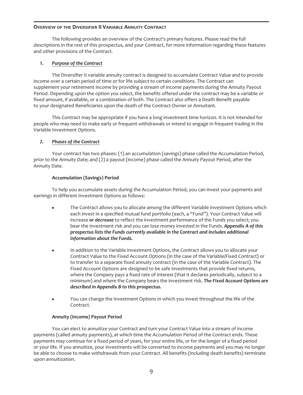#### <span id="page-9-0"></span>**OVERVIEW OF THE DIVERSIFIER II VARIABLE ANNUITY CONTRACT**

The following provides an overview of the Contract's primary features. Please read the full descriptions in the rest of this prospectus, and your Contract, for more information regarding these features and other provisions of the Contract.

# *1. Purpose of the Contract*

The Diversifier II variable annuity contract is designed to accumulate Contract Value and to provide income over a certain period of time or for life subject to certain conditions. The Contract can supplement your retirement income by providing a stream of income payments during the Annuity Payout Period. Depending upon the option you select, the benefits offered under the contract may be a variable or fixed amount, if available, or a combination of both. The Contract also offers a Death Benefit payable to your designated Beneficiaries upon the death of the Contract Owner or Annuitant.

This Contract may be appropriate if you have a long investment time horizon. It is not intended for people who may need to make early or frequent withdrawals or intend to engage in frequent trading in the Variable Investment Options.

# *2. Phases of the Contract*

Your contract has two phases: (1) an accumulation (savings) phase called the Accumulation Period, prior to the Annuity Date; and (2) a payout (income) phase called the Annuity Payout Period, after the Annuity Date.

# **Accumulation (Savings) Period**

To help you accumulate assets during the Accumulation Period, you can invest your payments and earnings in different Investment Options as follows:

- The Contract allows you to allocate among the different Variable Investment Options which each invest in a specified mutual fund portfolio (each, a "Fund"). Your Contract Value will increase *or decrease* to reflect the investment performance of the Funds you select; you bear the investment risk and you can lose money invested in the Funds. *Appendix A of this prospectus lists the Funds currently available in the Contract and includes additional information about the Funds.*
- In addition to the Variable Investment Options, the Contract allows you to allocate your Contract Value to the Fixed Account Options (in the case of the Variable/Fixed Contract) or to transfer to a separate fixed annuity contract (in the case of the Variable Contract). The Fixed Account Options are designed to be safe investments that provide fixed returns, where the Company pays a fixed rate of interest (that it declares periodically, subject to a minimum) and where the Company bears the investment risk. *The Fixed Account Options are described in Appendix B to this prospectus.*
- You can change the Investment Options in which you invest throughout the life of the Contract.

# **Annuity (Income) Payout Period**

You can elect to annuitize your Contract and turn your Contract Value into a stream of income payments (called annuity payments), at which time the Accumulation Period of the Contract ends. These payments may continue for a fixed period of years, for your entire life, or for the longer of a fixed period or your life. If you annuitize, your investments will be converted to income payments and you may no longer be able to choose to make withdrawals from your Contract. All benefits (including death benefits) terminate upon annuitization.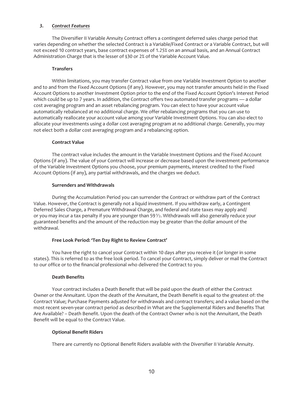#### *3. Contract Features*

The Diversifier II Variable Annuity Contract offers a contingent deferred sales charge period that varies depending on whether the selected Contract is a Variable/Fixed Contract or a Variable Contract, but will not exceed 10 contract years, base contract expenses of 1*.25%* on an annual basis, and an Annual Contract Administration Charge that is the lesser of \$30 or 2% of the Variable Account Value.

#### **Transfers**

Within limitations, you may transfer Contract value from one Variable Investment Option to another and to and from the Fixed Account Options (if any). However, you may not transfer amounts held in the Fixed Account Options to another Investment Option prior to the end of the Fixed Account Option's Interest Period which could be up to 7 years. In addition, the Contract offers two automated transfer programs — a dollar cost averaging program and an asset rebalancing program. You can elect to have your account value automatically rebalanced at no additional charge. We offer rebalancing programs that you can use to automatically reallocate your account value among your Variable Investment Options. You can also elect to allocate your investments using a dollar cost averaging program at no additional charge. Generally, you may not elect both a dollar cost averaging program and a rebalancing option.

#### **Contract Value**

The contract value includes the amount in the Variable Investment Options and the Fixed Account Options (if any). The value of your Contract will increase or decrease based upon the investment performance of the Variable Investment Options you choose, your premium payments, interest credited to the Fixed Account Options (if any), any partial withdrawals, and the charges we deduct.

#### **Surrenders and Withdrawals**

During the Accumulation Period you can surrender the Contract or withdraw part of the Contract Value. However, the Contract is generally not a liquid investment. If you withdraw early, a Contingent Deferred Sales Charge, a Premature Withdrawal Charge, and federal and state taxes may apply and/ or you may incur a tax penalty if you are younger than 591⁄2. Withdrawals will also generally reduce your guaranteed benefits and the amount of the reduction may be greater than the dollar amount of the withdrawal.

# **Free Look Period: 'Ten Day Right to Review Contract'**

You have the right to cancel your Contract within 10 days after you receive it (or longer in some states). This is referred to as the free look period. To cancel your Contract, simply deliver or mail the Contract to our office or to the financial professional who delivered the Contract to you.

# **Death Benefits**

Your contract includes a Death Benefit that will be paid upon the death of either the Contract Owner or the Annuitant. Upon the death of the Annuitant, the Death Benefit is equal to the greatest of: the Contract Value; Purchase Payments adjusted for withdrawals and contract transfers; and a value based on the most recent seven-year contract period as described in What are the Supplemental Riders and Benefits That Are Available? – Death Benefit. Upon the death of the Contract Owner who is not the Annuitant, the Death Benefit will be equal to the Contract Value.

# **Optional Benefit Riders**

There are currently no Optional Benefit Riders available with the Diversifier II Variable Annuity.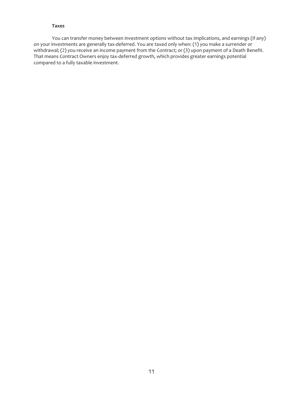#### **Taxes**

You can transfer money between investment options without tax implications, and earnings (if any) on your investments are generally tax-deferred. You are taxed only when: (1) you make a surrender or withdrawal; (2) you receive an income payment from the Contract; or (3) upon payment of a Death Benefit. That means Contract Owners enjoy tax-deferred growth, which provides greater earnings potential compared to a fully taxable investment.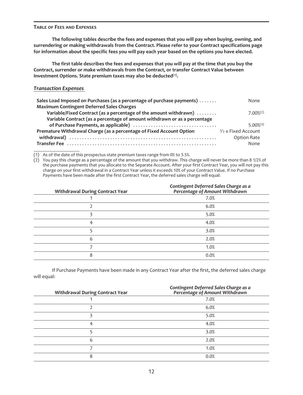#### <span id="page-12-0"></span>**TABLE OF FEES AND EXPENSES**

**The following tables describe the fees and expenses that you will pay when buying, owning, and surrendering or making withdrawals from the Contract. Please refer to your Contract specifications page for information about the specific fees you will pay each year based on the options you have elected.**

**The first table describes the fees and expenses that you will pay at the time that you buy the Contract, surrender or make withdrawals from the Contract, or transfer Contract Value between Investment Options. State premium taxes may also be deducted(1).**

# *Transaction Expenses*

| Sales Load Imposed on Purchases (as a percentage of purchase payments)    | None                    |
|---------------------------------------------------------------------------|-------------------------|
| <b>Maximum Contingent Deferred Sales Charges</b>                          |                         |
| Variable/Fixed Contract (as a percentage of the amount withdrawn)         | $7.00\%$ <sup>(2)</sup> |
| Variable Contract (as a percentage of amount withdrawn or as a percentage |                         |
|                                                                           | $5.00\%$ <sup>(3)</sup> |
| Premature Withdrawal Charge (as a percentage of Fixed Account Option      | $1/2$ x Fixed Account   |
|                                                                           | Option Rate             |
|                                                                           | None                    |

(1) As of the date of this prospectus state premium taxes range from 0% to 3.5%.

 $(2)$  You pay this charge as a percentage of the amount that you withdraw. This charge will never be more than 8 1/2% of the purchase payments that you allocate to the Separate Account. After your first Contract Year, you will not pay this charge on your first withdrawal in a Contract Year unless it exceeds 10% of your Contract Value. If no Purchase Payments have been made after the first Contract Year, the deferred sales charge will equal:

| <b>Withdrawal During Contract Year</b> | Contingent Deferred Sales Charge as a<br>Percentage of Amount Withdrawn |
|----------------------------------------|-------------------------------------------------------------------------|
|                                        | 7.0%                                                                    |
|                                        | 6.0%                                                                    |
|                                        | 5.0%                                                                    |
| 4                                      | 4.0%                                                                    |
|                                        | 3.0%                                                                    |
| 6                                      | 2.0%                                                                    |
|                                        | 1.0%                                                                    |
| 8                                      | 0.0%                                                                    |

If Purchase Payments have been made in any Contract Year after the first, the deferred sales charge will equal:

| <b>Withdrawal During Contract Year</b> | Contingent Deferred Sales Charge as a<br>Percentage of Amount Withdrawn |
|----------------------------------------|-------------------------------------------------------------------------|
|                                        | 7.0%                                                                    |
|                                        | 6.0%                                                                    |
|                                        | 5.0%                                                                    |
| 4                                      | 4.0%                                                                    |
|                                        | 3.0%                                                                    |
| 6                                      | 2.0%                                                                    |
|                                        | 1.0%                                                                    |
| 8                                      | 0.0%                                                                    |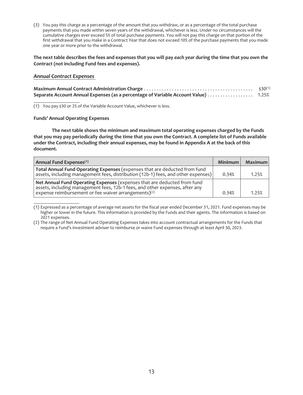(3) You pay this charge as a percentage of the amount that you withdraw, or as a percentage of the total purchase payments that you made within seven years of the withdrawal, whichever is less. Under no circumstances will the cumulative charges ever exceed 5% of total purchase payments. You will not pay this charge on that portion of the first withdrawal that you make in a Contract Year that does not exceed 10% of the purchase payments that you made one year or more prior to the withdrawal.

#### **The next table describes the fees and expenses that you will pay** *each year* **during the time that you own the Contract (not including Fund fees and expenses).**

#### *Annual Contract Expenses*

|                                                                                    | $$30^{(1)}$ |
|------------------------------------------------------------------------------------|-------------|
| Separate Account Annual Expenses (as a percentage of Variable Account Value) 1.25% |             |

(1) You pay \$30 or 2% of the Variable Account Value, whichever is less.

#### **Funds' Annual Operating Expenses**

**The next table shows the minimum and maximum total operating expenses charged by the Funds that you may pay periodically during the time that you own the Contract. A complete list of Funds available under the Contract, including their annual expenses, may be found in Appendix A at the back of this document.**

| Annual Fund Expenses <sup>(1)</sup>                                                                                                                                                                                          | Minimum l | Maximum |
|------------------------------------------------------------------------------------------------------------------------------------------------------------------------------------------------------------------------------|-----------|---------|
| Total Annual Fund Operating Expenses (expenses that are deducted from fund<br>assets, including management fees, distribution (12b-1) fees, and other expenses)                                                              | 0.34%     | 1.25%   |
| Net Annual Fund Operating Expenses (expenses that are deducted from fund<br>assets, including management fees, 12b-1 fees, and other expenses, after any<br>expense reimbursement or fee waiver arrangements) <sup>(2)</sup> | 0.34%     | 1.25%   |

<sup>(1)</sup> Expressed as a percentage of average net assets for the fiscal year ended December 31, 2021. Fund expenses may be higher or lower in the future. This information is provided by the Funds and their agents. The information is based on 2021 expenses.

<sup>(2)</sup> The range of Net Annual Fund Operating Expenses takes into account contractual arrangements for the Funds that require a Fund's investment adviser to reimburse or waive Fund expenses through at least April 30, 2023.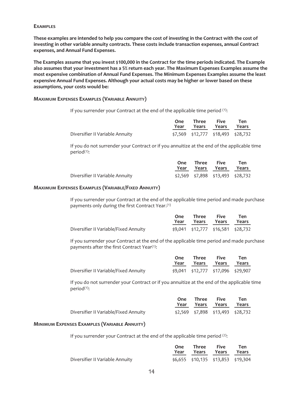#### **EXAMPLES**

**These examples are intended to help you compare the cost of investing in the Contract with the cost of investing in other variable annuity contracts. These costs include transaction expenses, annual Contract expenses, and Annual Fund Expenses.**

**The Examples assume that you invest \$100,000 in the Contract for the time periods indicated. The Example also assumes that your investment has a 5% return each year. The Maximum Expenses Examples assume the most expensive combination of Annual Fund Expenses. The Minimum Expenses Examples assume the least expensive Annual Fund Expenses. Although your actual costs may be higher or lower based on these assumptions, your costs would be:**

#### **MAXIMUM EXPENSES EXAMPLES (VARIABLE ANNUITY)**

If you surrender your Contract at the end of the applicable time period (1):

|                                 | One Three Five<br>Year Years Years Years | <b>Ten</b>                         |
|---------------------------------|------------------------------------------|------------------------------------|
| Diversifier II Variable Annuity |                                          | \$7,569 \$12,777 \$18,493 \$28,732 |

If you do not surrender your Contract or if you annuitize at the end of the applicable time period(1):

|                                 | One Three Five | Year Years Years Years            | Ten |
|---------------------------------|----------------|-----------------------------------|-----|
| Diversifier II Variable Annuity |                | \$2,569 \$7,898 \$13,493 \$28,732 |     |

#### **MAXIMUM EXPENSES EXAMPLES (VARIABLE/FIXED ANNUITY)**

If you surrender your Contract at the end of the applicable time period and made purchase payments only during the first Contract Year.(1)

|                                       | One<br>Year |                                    | Three Five<br>Years Years Years | Ten |
|---------------------------------------|-------------|------------------------------------|---------------------------------|-----|
| Diversifier II Variable/Fixed Annuity |             | \$9,041 \$12,777 \$16,581 \$28,732 |                                 |     |

If you surrender your Contract at the end of the applicable time period and made purchase payments after the first Contract Year<sup>(1)</sup>:

|                                       | One Three Five | Year Years Years Years             | Ten |
|---------------------------------------|----------------|------------------------------------|-----|
| Diversifier II Variable/Fixed Annuity |                | \$9,041 \$12,777 \$17,096 \$29,907 |     |

If you do not surrender your Contract or if you annuitize at the end of the applicable time period(1):

|                                       | One Three Five | Year Years Years Years | Ten                               |
|---------------------------------------|----------------|------------------------|-----------------------------------|
| Diversifier II Variable/Fixed Annuity |                |                        | \$2,569 \$7,898 \$13,493 \$28,732 |

#### **MINIMUM EXPENSES EXAMPLES (VARIABLE ANNUITY)**

If you surrender your Contract at the end of the applicable time period  $(2)$ :

|                                 | One Three Five<br>Year Years Years Years | Ten |
|---------------------------------|------------------------------------------|-----|
| Diversifier II Variable Annuity | $$6,655$ $$10,135$ $$13,853$ $$19,304$   |     |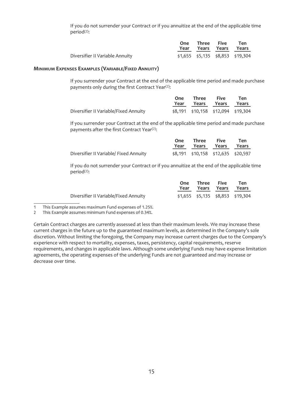If you do not surrender your Contract or if you annuitize at the end of the applicable time period(2):

|                                 | One Three Five<br>Year Years Years Years | Ten                                  |
|---------------------------------|------------------------------------------|--------------------------------------|
| Diversifier II Variable Annuity |                                          | $$1,655$ $$5,135$ $$8,853$ $$19,304$ |

#### **MINIMUM EXPENSES EXAMPLES (VARIABLE/FIXED ANNUITY)**

If you surrender your Contract at the end of the applicable time period and made purchase payments only during the first Contract Year<sup>(2)</sup>:

|                                       | One<br>Year | Three<br>Years Years                   | <b>Five</b> | Ten<br>Years |
|---------------------------------------|-------------|----------------------------------------|-------------|--------------|
| Diversifier II Variable/Fixed Annuity |             | $$8,191$ $$10,158$ $$12,094$ $$19,304$ |             |              |

If you surrender your Contract at the end of the applicable time period and made purchase payments after the first Contract Year<sup>(2)</sup>:

|                                        | One Three Five<br>Year Years Years Years | Ten                                    |
|----------------------------------------|------------------------------------------|----------------------------------------|
| Diversifier II Variable/ Fixed Annuity |                                          | $$8,191$ $$10,158$ $$12,635$ $$20,597$ |

If you do not surrender your Contract or if you annuitize at the end of the applicable time period(2):

|                                       | One Three Five<br>Year Years Years Years | Ten                                  |
|---------------------------------------|------------------------------------------|--------------------------------------|
| Diversifier II Variable/Fixed Annuity |                                          | $$1,655$ $$5,135$ $$8,853$ $$19,304$ |

1 This Example assumes maximum Fund expenses of 1.25%.

This Example assumes minimum Fund expenses of 0.34%.

Certain Contract charges are currently assessed at less than their maximum levels. We may increase these current charges in the future up to the guaranteed maximum levels, as determined in the Company's sole discretion. Without limiting the foregoing, the Company may increase current charges due to the Company's experience with respect to mortality, expenses, taxes, persistency, capital requirements, reserve requirements, and changes in applicable laws. Although some underlying Funds may have expense limitation agreements, the operating expenses of the underlying Funds are not guaranteed and may increase or decrease over time.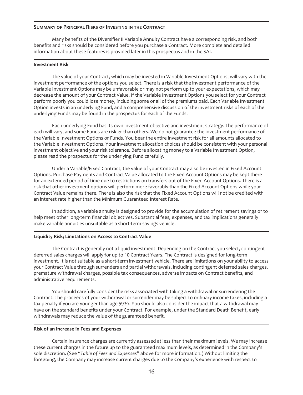#### <span id="page-16-0"></span>**SUMMARY OF PRINCIPAL RISKS OF INVESTING IN THE CONTRACT**

Many benefits of the Diversifier II Variable Annuity Contract have a corresponding risk, and both benefits and risks should be considered before you purchase a Contract. More complete and detailed information about these features is provided later in this prospectus and in the SAI.

#### **Investment Risk**

The value of your Contract, which may be invested in Variable Investment Options, will vary with the investment performance of the options you select. There is a risk that the investment performance of the Variable Investment Options may be unfavorable or may not perform up to your expectations, which may decrease the amount of your Contract Value. If the Variable Investment Options you select for your Contract perform poorly you could lose money, including some or all of the premiums paid. Each Variable Investment Option invests in an underlying Fund, and a comprehensive discussion of the investment risks of each of the underlying Funds may be found in the prospectus for each of the Funds.

Each underlying Fund has its own investment objective and investment strategy. The performance of each will vary, and some Funds are riskier than others. We do not guarantee the investment performance of the Variable Investment Options or Funds. You bear the entire investment risk for all amounts allocated to the Variable Investment Options. Your investment allocation choices should be consistent with your personal investment objective and your risk tolerance. Before allocating money to a Variable Investment Option, please read the prospectus for the underlying Fund carefully.

Under a Variable/Fixed Contract, the value of your Contract may also be invested in Fixed Account Options. Purchase Payments and Contract Value allocated to the Fixed Account Options may be kept there for an extended period of time due to restrictions on transfers out of the Fixed Account Options. There is a risk that other investment options will perform more favorably than the Fixed Account Options while your Contract Value remains there. There is also the risk that the Fixed Account Options will not be credited with an interest rate higher than the Minimum Guaranteed Interest Rate.

In addition, a variable annuity is designed to provide for the accumulation of retirement savings or to help meet other long-term financial objectives. Substantial fees, expenses, and tax implications generally make variable annuities unsuitable as a short-term savings vehicle.

#### **Liquidity Risk; Limitations on Access to Contract Value**

The Contract is generally not a liquid investment. Depending on the Contract you select, contingent deferred sales charges will apply for up to 10 Contract Years. The Contract is designed for long-term investment. It is not suitable as a short-term investment vehicle. There are limitations on your ability to access your Contract Value through surrenders and partial withdrawals, including contingent deferred sales charges, premature withdrawal charges, possible tax consequences, adverse impacts on Contract benefits, and administrative requirements.

You should carefully consider the risks associated with taking a withdrawal or surrendering the Contract. The proceeds of your withdrawal or surrender may be subject to ordinary income taxes, including a tax penalty if you are younger than age 59 $\frac{1}{2}$ . You should also consider the impact that a withdrawal may have on the standard benefits under your Contract. For example, under the Standard Death Benefit, early withdrawals may reduce the value of the guaranteed benefit.

#### **Risk of an Increase in Fees and Expenses**

Certain insurance charges are currently assessed at less than their maximum levels. We may increase these current charges in the future up to the guaranteed maximum levels, as determined in the Company's sole discretion. (See "*Table of Fees and Expenses*" above for more information.) Without limiting the foregoing, the Company may increase current charges due to the Company's experience with respect to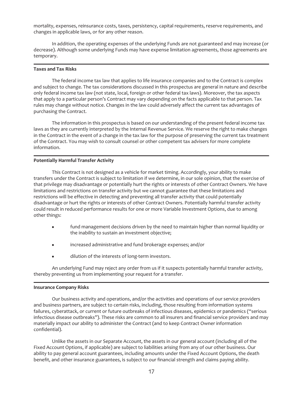mortality, expenses, reinsurance costs, taxes, persistency, capital requirements, reserve requirements, and changes in applicable laws, or for any other reason.

In addition, the operating expenses of the underlying Funds are not guaranteed and may increase (or decrease). Although some underlying Funds may have expense limitation agreements, those agreements are temporary.

#### **Taxes and Tax Risks**

The federal income tax law that applies to life insurance companies and to the Contract is complex and subject to change. The tax considerations discussed in this prospectus are general in nature and describe only federal income tax law (not state, local, foreign or other federal tax laws). Moreover, the tax aspects that apply to a particular person's Contract may vary depending on the facts applicable to that person. Tax rules may change without notice. Changes in the law could adversely affect the current tax advantages of purchasing the Contract.

The information in this prospectus is based on our understanding of the present federal income tax laws as they are currently interpreted by the Internal Revenue Service. We reserve the right to make changes in the Contract in the event of a change in the tax law for the purpose of preserving the current tax treatment of the Contract. You may wish to consult counsel or other competent tax advisers for more complete information.

#### **Potentially Harmful Transfer Activity**

This Contract is not designed as a vehicle for market timing. Accordingly, your ability to make transfers under the Contract is subject to limitation if we determine, in our sole opinion, that the exercise of that privilege may disadvantage or potentially hurt the rights or interests of other Contract Owners. We have limitations and restrictions on transfer activity but we cannot guarantee that these limitations and restrictions will be effective in detecting and preventing all transfer activity that could potentially disadvantage or hurt the rights or interests of other Contract Owners. Potentially harmful transfer activity could result in reduced performance results for one or more Variable Investment Options, due to among other things:

- fund management decisions driven by the need to maintain higher than normal liquidity or the inability to sustain an investment objective;
- $\bullet$  increased administrative and fund brokerage expenses; and/or
- $\bullet$  dilution of the interests of long-term investors.

An underlying Fund may reject any order from us if it suspects potentially harmful transfer activity, thereby preventing us from implementing your request for a transfer.

#### **Insurance Company Risks**

Our business activity and operations, and/or the activities and operations of our service providers and business partners, are subject to certain risks, including, those resulting from information systems failures, cyberattack, or current or future outbreaks of infectious diseases, epidemics or pandemics ("serious infectious disease outbreaks"). These risks are common to all insurers and financial service providers and may materially impact our ability to administer the Contract (and to keep Contract Owner information confidential).

Unlike the assets in our Separate Account, the assets in our general account (including all of the Fixed Account Options, if applicable) are subject to liabilities arising from any of our other business. Our ability to pay general account guarantees, including amounts under the Fixed Account Options, the death benefit, and other insurance guarantees, is subject to our financial strength and claims paying ability.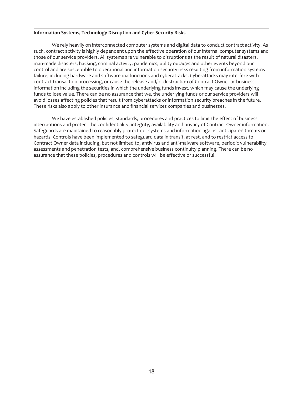#### **Information Systems, Technology Disruption and Cyber Security Risks**

We rely heavily on interconnected computer systems and digital data to conduct contract activity. As such, contract activity is highly dependent upon the effective operation of our internal computer systems and those of our service providers. All systems are vulnerable to disruptions as the result of natural disasters, man-made disasters, hacking, criminal activity, pandemics, utility outages and other events beyond our control and are susceptible to operational and information security risks resulting from information systems failure, including hardware and software malfunctions and cyberattacks. Cyberattacks may interfere with contract transaction processing, or cause the release and/or destruction of Contract Owner or business information including the securities in which the underlying funds invest, which may cause the underlying funds to lose value. There can be no assurance that we, the underlying funds or our service providers will avoid losses affecting policies that result from cyberattacks or information security breaches in the future. These risks also apply to other insurance and financial services companies and businesses.

We have established policies, standards, procedures and practices to limit the effect of business interruptions and protect the confidentiality, integrity, availability and privacy of Contract Owner information. Safeguards are maintained to reasonably protect our systems and information against anticipated threats or hazards. Controls have been implemented to safeguard data in transit, at rest, and to restrict access to Contract Owner data including, but not limited to, antivirus and anti-malware software, periodic vulnerability assessments and penetration tests, and, comprehensive business continuity planning. There can be no assurance that these policies, procedures and controls will be effective or successful.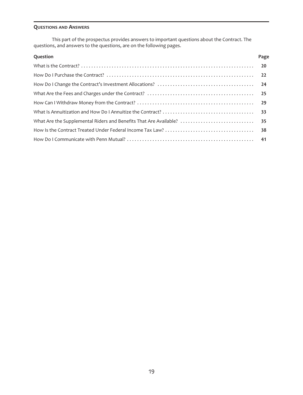# <span id="page-19-0"></span>**QUESTIONS AND ANSWERS**

This part of the prospectus provides answers to important questions about the Contract. The questions, and answers to the questions, are on the following pages.

| Question | Page |
|----------|------|
|          |      |
|          |      |
|          |      |
|          |      |
|          |      |
|          |      |
|          |      |
|          |      |
|          |      |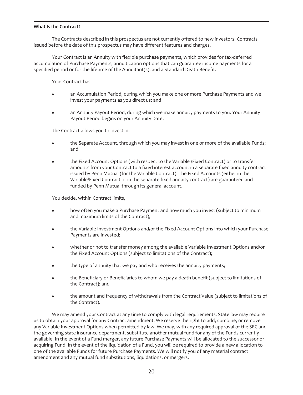#### <span id="page-20-0"></span>**What Is the Contract?**

The Contracts described in this prospectus are not currently offered to new investors. Contracts issued before the date of this prospectus may have different features and charges.

Your Contract is an Annuity with flexible purchase payments, which provides for tax-deferred accumulation of Purchase Payments, annuitization options that can guarantee income payments for a specified period or for the lifetime of the Annuitant(s), and a Standard Death Benefit.

Your Contract has:

- an Accumulation Period, during which you make one or more Purchase Payments and we invest your payments as you direct us; and
- an Annuity Payout Period, during which we make annuity payments to you. Your Annuity Payout Period begins on your Annuity Date.

The Contract allows you to invest in:

- the Separate Account, through which you may invest in one or more of the available Funds; and
- the Fixed Account Options (with respect to the Variable /Fixed Contract) or to transfer amounts from your Contract to a fixed interest account in a separate fixed annuity contract issued by Penn Mutual (for the Variable Contract). The Fixed Accounts (either in the Variable/Fixed Contract or in the separate fixed annuity contract) are guaranteed and funded by Penn Mutual through its general account.

You decide, within Contract limits,

- how often you make a Purchase Payment and how much you invest (subject to minimum and maximum limits of the Contract);
- the Variable Investment Options and/or the Fixed Account Options into which your Purchase Payments are invested;
- whether or not to transfer money among the available Variable Investment Options and/or the Fixed Account Options (subject to limitations of the Contract);
- the type of annuity that we pay and who receives the annuity payments;
- the Beneficiary or Beneficiaries to whom we pay a death benefit (subject to limitations of the Contract); and
- the amount and frequency of withdrawals from the Contract Value (subject to limitations of the Contract).

We may amend your Contract at any time to comply with legal requirements. State law may require us to obtain your approval for any Contract amendment. We reserve the right to add, combine, or remove any Variable Investment Options when permitted by law. We may, with any required approval of the SEC and the governing state insurance department, substitute another mutual fund for any of the Funds currently available. In the event of a Fund merger, any future Purchase Payments will be allocated to the successor or acquiring Fund. In the event of the liquidation of a Fund, you will be required to provide a new allocation to one of the available Funds for future Purchase Payments. We will notify you of any material contract amendment and any mutual fund substitutions, liquidations, or mergers.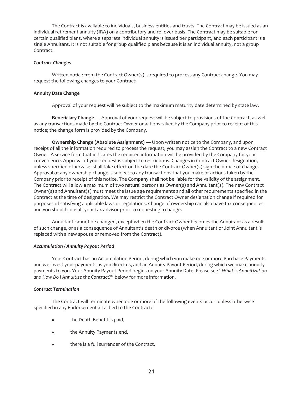The Contract is available to individuals, business entities and trusts. The Contract may be issued as an individual retirement annuity (IRA) on a contributory and rollover basis. The Contract may be suitable for certain qualified plans, where a separate individual annuity is issued per participant, and each participant is a single Annuitant. It is not suitable for group qualified plans because it is an individual annuity, not a group Contract.

#### *Contract Changes*

Written notice from the Contract Owner(s) is required to process any Contract change. You may request the following changes to your Contract:

#### **Annuity Date Change**

Approval of your request will be subject to the maximum maturity date determined by state law.

**Beneficiary Change —** Approval of your request will be subject to provisions of the Contract, as well as any transactions made by the Contract Owner or actions taken by the Company prior to receipt of this notice; the change form is provided by the Company.

**Ownership Change (Absolute Assignment) —** Upon written notice to the Company, and upon receipt of all the information required to process the request, you may assign the Contract to a new Contract Owner. A service form that indicates the required information will be provided by the Company for your convenience. Approval of your request is subject to restrictions. Changes in Contract Owner designation, unless specified otherwise, shall take effect on the date the Contract Owner(s) sign the notice of change. Approval of any ownership change is subject to any transactions that you make or actions taken by the Company prior to receipt of this notice. The Company shall not be liable for the validity of the assignment. The Contract will allow a maximum of two natural persons as Owner(s) and Annuitant(s). The new Contract Owner(s) and Annuitant(s) must meet the issue age requirements and all other requirements specified in the Contract at the time of designation. We may restrict the Contract Owner designation change if required for purposes of satisfying applicable laws or regulations. Change of ownership can also have tax consequences and you should consult your tax advisor prior to requesting a change.

Annuitant cannot be changed, except when the Contract Owner becomes the Annuitant as a result of such change, or as a consequence of Annuitant's death or divorce (when Annuitant or Joint Annuitant is replaced with a new spouse or removed from the Contract).

#### *Accumulation / Annuity Payout Period*

Your Contract has an Accumulation Period, during which you make one or more Purchase Payments and we invest your payments as you direct us, and an Annuity Payout Period, during which we make annuity payments to you. Your Annuity Payout Period begins on your Annuity Date. Please see "*What is Annuitization and How Do I Annuitize the Contract?*" below for more information.

#### *Contract Termination*

The Contract will terminate when one or more of the following events occur, unless otherwise specified in any Endorsement attached to the Contract:

- the Death Benefit is paid,
- the Annuity Payments end,
- there is a full surrender of the Contract.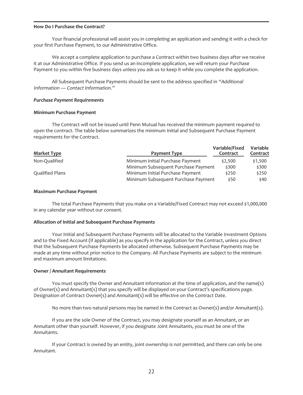#### <span id="page-22-0"></span>**How Do I Purchase the Contract?**

Your financial professional will assist you in completing an application and sending it with a check for your first Purchase Payment, to our Administrative Office.

We accept a complete application to purchase a Contract within two business days after we receive it at our Administrative Office. If you send us an incomplete application, we will return your Purchase Payment to you within five business days unless you ask us to keep it while you complete the application.

All Subsequent Purchase Payments should be sent to the address specified in "Additional Information — Contact Information."

#### *Purchase Payment Requirements*

#### **Minimum Purchase Payment**

The Contract will not be issued until Penn Mutual has received the minimum payment required to open the contract. The table below summarizes the minimum Initial and Subsequent Purchase Payment requirements for the Contract.

| <b>Market Type</b> | Payment Type                        | Variable/Fixed<br>Contract | Variable<br>Contract |
|--------------------|-------------------------------------|----------------------------|----------------------|
| Non-Qualified      | Minimum Initial Purchase Payment    | \$2,500                    | \$1,500              |
|                    | Minimum Subsequent Purchase Payment | \$300                      | \$300                |
| Qualified Plans    | Minimum Initial Purchase Payment    | \$250                      | \$250                |
|                    | Minimum Subsequent Purchase Payment | \$50                       | \$40                 |

#### **Maximum Purchase Payment**

The total Purchase Payments that you make on a Variable/Fixed Contract may not exceed \$1,000,000 in any calendar year without our consent.

#### **Allocation of Initial and Subsequent Purchase Payments**

Your Initial and Subsequent Purchase Payments will be allocated to the Variable Investment Options and to the Fixed Account (if applicable) as you specify in the application for the Contract, unless you direct that the Subsequent Purchase Payments be allocated otherwise. Subsequent Purchase Payments may be made at any time without prior notice to the Company. All Purchase Payments are subject to the minimum and maximum amount limitations.

#### **Owner / Annuitant Requirements**

You must specify the Owner and Annuitant information at the time of application, and the name(s) of Owner(s) and Annuitant(s) that you specify will be displayed on your Contract's specifications page. Designation of Contract Owner(s) and Annuitant(s) will be effective on the Contract Date.

No more than two natural persons may be named in the Contract as Owner(s) and/or Annuitant(s).

If you are the sole Owner of the Contract, you may designate yourself as an Annuitant, or an Annuitant other than yourself. However, if you designate Joint Annuitants, you must be one of the Annuitants.

If your Contract is owned by an entity, joint ownership is not permitted, and there can only be one Annuitant.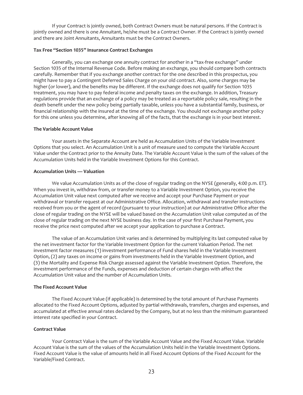If your Contract is jointly owned, both Contract Owners must be natural persons. If the Contract is jointly owned and there is one Annuitant, he/she must be a Contract Owner. If the Contract is jointly owned and there are Joint Annuitants, Annuitants must be the Contract Owners.

# **Tax Free "Section 1035" Insurance Contract Exchanges**

Generally, you can exchange one annuity contract for another in a "tax-free exchange" under Section 1035 of the Internal Revenue Code. Before making an exchange, you should compare both contracts carefully. Remember that if you exchange another contract for the one described in this prospectus, you might have to pay a Contingent Deferred Sales Charge on your old contract. Also, some charges may be higher (or lower), and the benefits may be different. If the exchange does not qualify for Section 1035 treatment, you may have to pay federal income and penalty taxes on the exchange. In addition, Treasury regulations provide that an exchange of a policy may be treated as a reportable policy sale, resulting in the death benefit under the new policy being partially taxable, unless you have a substantial family, business, or financial relationship with the insured at the time of the exchange. You should not exchange another policy for this one unless you determine, after knowing all of the facts, that the exchange is in your best interest.

#### **The Variable Account Value**

Your assets in the Separate Account are held as Accumulation Units of the Variable Investment Options that you select. An Accumulation Unit is a unit of measure used to compute the Variable Account Value under the Contract prior to the Annuity Date. The Variable Account Value is the sum of the values of the Accumulation Units held in the Variable Investment Options for this Contract.

#### **Accumulation Units — Valuation**

We value Accumulation Units as of the close of regular trading on the NYSE (generally, 4:00 p.m. ET). When you invest in, withdraw from, or transfer money to a Variable Investment Option, you receive the Accumulation Unit value next computed after we receive and accept your Purchase Payment or your withdrawal or transfer request at our Administrative Office. Allocation, withdrawal and transfer instructions received from you or the agent of record (pursuant to your instruction) at our Administrative Office after the close of regular trading on the NYSE will be valued based on the Accumulation Unit value computed as of the close of regular trading on the next NYSE business day. In the case of your first Purchase Payment, you receive the price next computed after we accept your application to purchase a Contract.

The value of an Accumulation Unit varies and is determined by multiplying its last computed value by the net investment factor for the Variable Investment Option for the current Valuation Period. The net investment factor measures (1) investment performance of Fund shares held in the Variable Investment Option, (2) any taxes on income or gains from investments held in the Variable Investment Option, and (3) the Mortality and Expense Risk Charge assessed against the Variable Investment Option. Therefore, the investment performance of the Funds, expenses and deduction of certain charges with affect the Accumulation Unit value and the number of Accumulation Units.

#### **The Fixed Account Value**

The Fixed Account Value (if applicable) is determined by the total amount of Purchase Payments allocated to the Fixed Account Options, adjusted by partial withdrawals, transfers, charges and expenses, and accumulated at effective annual rates declared by the Company, but at no less than the minimum guaranteed interest rate specified in your Contract.

#### **Contract Value**

Your Contract Value is the sum of the Variable Account Value and the Fixed Account Value. Variable Account Value is the sum of the values of the Accumulation Units held in the Variable Investment Options. Fixed Account Value is the value of amounts held in all Fixed Account Options of the Fixed Account for the Variable/Fixed Contract.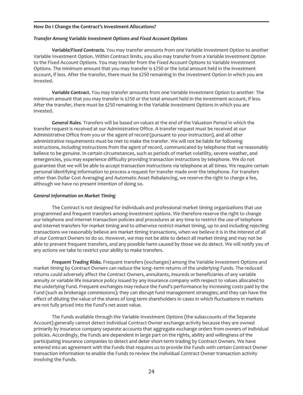# <span id="page-24-0"></span>**How Do I Change the Contract's Investment Allocations?**

#### *Transfer Among Variable Investment Options and Fixed Account Options*

*Variable/Fixed Contracts.* You may transfer amounts from one Variable Investment Option to another Variable Investment Option. Within Contract limits, you also may transfer from a Variable Investment Option to the Fixed Account Options. You may transfer from the Fixed Account Options to Variable Investment Options. The minimum amount that you may transfer is \$250 or the total amount held in the investment account, if less. After the transfer, there must be \$250 remaining in the Investment Option in which you are invested.

*Variable Contract.* You may transfer amounts from one Variable Investment Option to another. The minimum amount that you may transfer is \$250 or the total amount held in the investment account, if less. After the transfer, there must be \$250 remaining in the Variable Investment Options in which you are invested.

*General Rules.* Transfers will be based on values at the end of the Valuation Period in which the transfer request is received at our Administrative Office. A transfer request must be received at our Administrative Office from you or the agent of record (pursuant to your instruction), and all other administrative requirements must be met to make the transfer. We will not be liable for following instructions, including instructions from the agent of record, communicated by telephone that we reasonably believe to be genuine. In certain circumstances, such as periods of market volatility, severe weather, and emergencies, you may experience difficulty providing transaction instructions by telephone. We do not guarantee that we will be able to accept transaction instructions via telephone at all times. We require certain personal identifying information to process a request for transfer made over the telephone. For transfers other than Dollar Cost Averaging and Automatic Asset Rebalancing, we reserve the right to charge a fee, although we have no present intention of doing so.

#### *General Information on Market Timing*

The Contract is not designed for individuals and professional market timing organizations that use programmed and frequent transfers among investment options. We therefore reserve the right to change our telephone and internet transaction policies and procedures at any time to restrict the use of telephone and internet transfers for market timing and to otherwise restrict market timing, up to and including rejecting transactions we reasonably believe are market timing transactions, when we believe it is in the interest of all of our Contract Owners to do so. However, we may not be able to detect all market timing and may not be able to prevent frequent transfers, and any possible harm caused by those we do detect. We will notify you of any actions we take to restrict your ability to make transfers.

*Frequent Trading Risks.* Frequent transfers (exchanges) among the Variable Investment Options and market timing by Contract Owners can reduce the long–term returns of the underlying Funds. The reduced returns could adversely affect the Contract Owners, annuitants, insureds or beneficiaries of any variable annuity or variable life insurance policy issued by any insurance company with respect to values allocated to the underlying Fund. Frequent exchanges may reduce the Fund's performance by increasing costs paid by the Fund (such as brokerage commissions); they can disrupt fund management strategies; and they can have the effect of diluting the value of the shares of long term shareholders in cases in which fluctuations in markets are not fully priced into the Fund's net asset value.

The Funds available through the Variable Investment Options (the subaccounts of the Separate Account) generally cannot detect individual Contract Owner exchange activity because they are owned primarily by insurance company separate accounts that aggregate exchange orders from owners of individual policies. Accordingly, the Funds are dependent in large part on the rights, ability and willingness of the participating insurance companies to detect and deter short-term trading by Contract Owners. We have entered into an agreement with the Funds that requires us to provide the Funds with certain Contract Owner transaction information to enable the Funds to review the individual Contract Owner transaction activity involving the Funds.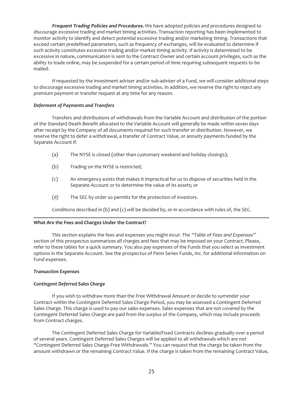**Frequent Trading Policies and Procedures.** We have adopted policies and procedures designed to discourage excessive trading and market timing activities. Transaction reporting has been implemented to monitor activity to identify and detect potential excessive trading and/or marketing timing. Transactions that exceed certain predefined parameters, such as frequency of exchanges, will be evaluated to determine if such activity constitutes excessive trading and/or market timing activity. If activity is determined to be excessive in nature, communication is sent to the Contract Owner and certain account privileges, such as the ability to trade online, may be suspended for a certain period of time requiring subsequent requests to be mailed.

If requested by the investment adviser and/or sub-adviser of a Fund, we will consider additional steps to discourage excessive trading and market timing activities. In addition, we reserve the right to reject any premium payment or transfer request at any time for any reason.

#### *Deferment of Payments and Transfers*

Transfers and distributions of withdrawals from the Variable Account and distribution of the portion of the Standard Death Benefit allocated to the Variable Account will generally be made within seven days after receipt by the Company of all documents required for such transfer or distribution. However, we reserve the right to defer a withdrawal, a transfer of Contract Value, or annuity payments funded by the Separate Account if:

- (a) The NYSE is closed (other than customary weekend and holiday closings);
- (b) Trading on the NYSE is restricted;
- (c) An emergency exists that makes it impractical for us to dispose of securities held in the Separate Account or to determine the value of its assets; or
- (d) The SEC by order so permits for the protection of investors.

Conditions described in (b) and (c) will be decided by, or in accordance with rules of, the SEC.

#### <span id="page-25-0"></span>**What Are the Fees and Charges Under the Contract?**

This section explains the fees and expenses you might incur. The "Table of Fees and Expenses" section of this prospectus summarizes all charges and fees that may be imposed on your Contract. Please, refer to these tables for a quick summary. You also pay expenses of the Funds that you select as investment options in the Separate Account. See the prospectus of Penn Series Funds, Inc. for additional information on Fund expenses.

#### *Transaction Expenses*

# *Contingent Deferred Sales Charge*

If you wish to withdraw more than the Free Withdrawal Amount or decide to surrender your Contract within the Contingent Deferred Sales Charge Period, you may be assessed a Contingent Deferred Sales Charge. This charge is used to pay our sales expenses. Sales expenses that are not covered by the Contingent Deferred Sales Charge are paid from the surplus of the Company, which may include proceeds from Contract charges.

The Contingent Deferred Sales Charge for Variable/Fixed Contracts declines gradually over a period of several years. Contingent Deferred Sales Charges will be applied to all withdrawals which are not "Contingent Deferred Sales Charge-Free Withdrawals." You can request that the charge be taken from the amount withdrawn or the remaining Contract Value. If the charge is taken from the remaining Contract Value,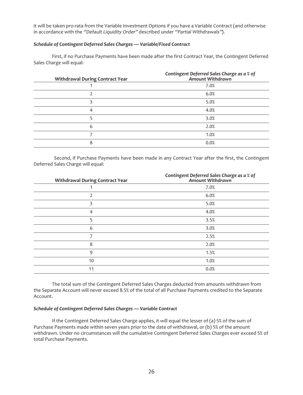it will be taken pro-rata from the Variable Investment Options if you have a Variable Contract (and otherwise in accordance with the "Default Liquidity Order" described under "Partial Withdrawals").

#### *Schedule of Contingent Deferred Sales Charges — Variable/Fixed Contract*

First, if no Purchase Payments have been made after the first Contract Year, the Contingent Deferred Sales Charge will equal:

| <b>Withdrawal During Contract Year</b> | Contingent Deferred Sales Charge as a % of<br>Amount Withdrawn |
|----------------------------------------|----------------------------------------------------------------|
|                                        | 7.0%                                                           |
|                                        | 6.0%                                                           |
|                                        | 5.0%                                                           |
| 4                                      | 4.0%                                                           |
|                                        | 3.0%                                                           |
| 6                                      | 2.0%                                                           |
|                                        | 1.0%                                                           |
| 8                                      | 0.0%                                                           |

Second, if Purchase Payments have been made in any Contract Year after the first, the Contingent Deferred Sales Charge will equal:

| <b>Withdrawal During Contract Year</b> | Contingent Deferred Sales Charge as a % of<br>Amount Withdrawn |
|----------------------------------------|----------------------------------------------------------------|
|                                        | 7.0%                                                           |
| 2                                      | 6.0%                                                           |
| 3                                      | 5.0%                                                           |
| 4                                      | 4.0%                                                           |
| 5                                      | 3.5%                                                           |
| 6                                      | 3.0%                                                           |
| 7                                      | 2.5%                                                           |
| 8                                      | 2.0%                                                           |
| 9                                      | 1.5%                                                           |
| 10                                     | 1.0%                                                           |
| 11                                     | 0.0%                                                           |

The total sum of the Contingent Deferred Sales Charges deducted from amounts withdrawn from the Separate Account will never exceed 8.5% of the total of all Purchase Payments credited to the Separate Account.

#### *Schedule of Contingent Deferred Sales Charges — Variable Contract*

If the Contingent Deferred Sales Charge applies, it will equal the lesser of (a) 5% of the sum of Purchase Payments made within seven years prior to the date of withdrawal, or (b) 5% of the amount withdrawn. Under no circumstances will the cumulative Contingent Deferred Sales Charges ever exceed 5% of total Purchase Payments.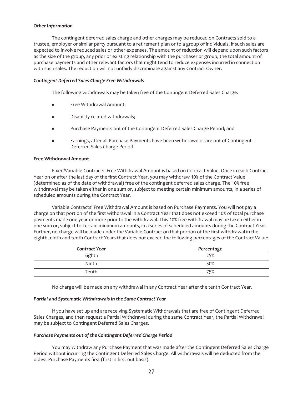#### *Other Information*

The contingent deferred sales charge and other charges may be reduced on Contracts sold to a trustee, employer or similar party pursuant to a retirement plan or to a group of individuals, if such sales are expected to involve reduced sales or other expenses. The amount of reduction will depend upon such factors as the size of the group, any prior or existing relationship with the purchaser or group, the total amount of purchase payments and other relevant factors that might tend to reduce expenses incurred in connection with such sales. The reduction will not unfairly discriminate against any Contract Owner.

#### *Contingent Deferred Sales-Charge Free Withdrawals*

The following withdrawals may be taken free of the Contingent Deferred Sales Charge:

- Free Withdrawal Amount;
- Disability-related withdrawals;
- Purchase Payments out of the Contingent Deferred Sales Charge Period; and
- Earnings, after all Purchase Payments have been withdrawn or are out of Contingent Deferred Sales Charge Period.

#### **Free Withdrawal Amount**

Fixed/Variable Contracts' Free Withdrawal Amount is based on Contract Value. Once in each Contract Year on or after the last day of the first Contract Year, you may withdraw 10% of the Contract Value (determined as of the date of withdrawal) free of the contingent deferred sales charge. The 10% free withdrawal may be taken either in one sum or, subject to meeting certain minimum amounts, in a series of scheduled amounts during the Contract Year.

Variable Contracts' Free Withdrawal Amount is based on Purchase Payments. You will not pay a charge on that portion of the first withdrawal in a Contract Year that does not exceed 10% of total purchase payments made one year or more prior to the withdrawal. This 10% free withdrawal may be taken either in one sum or, subject to certain minimum amounts, in a series of scheduled amounts during the Contract Year. Further, no charge will be made under the Variable Contract on that portion of the first withdrawal in the eighth, ninth and tenth Contract Years that does not exceed the following percentages of the Contract Value:

| <b>Contract Year</b> | Percentage |
|----------------------|------------|
| Eighth               | 25%        |
| Ninth                | 50%        |
| Tenth                | 75%        |

No charge will be made on any withdrawal in any Contract Year after the tenth Contract Year.

#### *Partial and Systematic Withdrawals in the Same Contract Year*

If you have set up and are receiving Systematic Withdrawals that are free of Contingent Deferred Sales Charges, and then request a Partial Withdrawal during the same Contract Year, the Partial Withdrawal may be subject to Contingent Deferred Sales Charges.

# *Purchase Payments out of the Contingent Deferred Charge Period*

You may withdraw any Purchase Payment that was made after the Contingent Deferred Sales Charge Period without incurring the Contingent Deferred Sales Charge. All withdrawals will be deducted from the oldest Purchase Payments first (first in first out basis).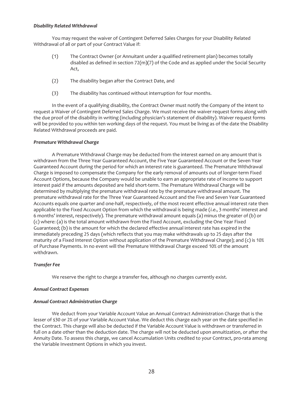#### *Disability Related Withdrawal*

You may request the waiver of Contingent Deferred Sales Charges for your Disability Related Withdrawal of all or part of your Contract Value if:

- (1) The Contract Owner (or Annuitant under a qualified retirement plan) becomes totally disabled as defined in section  $72(m)(7)$  of the Code and as applied under the Social Security Act,
- (2) The disability began after the Contract Date, and
- (3) The disability has continued without interruption for four months.

In the event of a qualifying disability, the Contract Owner must notify the Company of the intent to request a Waiver of Contingent Deferred Sales Charge. We must receive the waiver request forms along with the due proof of the disability in writing (including physician's statement of disability). Waiver request forms will be provided to you within ten working days of the request. You must be living as of the date the Disability Related Withdrawal proceeds are paid.

#### *Premature Withdrawal Charge*

A Premature Withdrawal Charge may be deducted from the interest earned on any amount that is withdrawn from the Three Year Guaranteed Account, the Five Year Guaranteed Account or the Seven Year Guaranteed Account during the period for which an interest rate is guaranteed. The Premature Withdrawal Charge is imposed to compensate the Company for the early removal of amounts out of longer-term Fixed Account Options, because the Company would be unable to earn an appropriate rate of income to support interest paid if the amounts deposited are held short-term. The Premature Withdrawal Charge will be determined by multiplying the premature withdrawal rate by the premature withdrawal amount. The premature withdrawal rate for the Three Year Guaranteed Account and the Five and Seven Year Guaranteed Accounts equals one quarter and one-half, respectively, of the most recent effective annual interest rate then applicable to the Fixed Account Option from which the withdrawal is being made (i.e., 3 months' interest and 6 months' interest, respectively). The premature withdrawal amount equals (a) minus the greater of (b) or (c) where: (a) is the total amount withdrawn from the Fixed Account, excluding the One Year Fixed Guaranteed; (b) is the amount for which the declared effective annual interest rate has expired in the immediately preceding 25 days (which reflects that you may make withdrawals up to 25 days after the maturity of a Fixed Interest Option without application of the Premature Withdrawal Charge); and (c) is 10% of Purchase Payments. In no event will the Premature Withdrawal Charge exceed 10% of the amount withdrawn.

#### *Transfer Fee*

We reserve the right to charge a transfer fee, although no charges currently exist.

#### *Annual Contract Expenses*

#### *Annual Contract Administration Charge*

We deduct from your Variable Account Value an Annual Contract Administration Charge that is the lesser of \$30 or 2% of your Variable Account Value. We deduct this charge each year on the date specified in the Contract. This charge will also be deducted if the Variable Account Value is withdrawn or transferred in full on a date other than the deduction date. The charge will not be deducted upon annuitization, or after the Annuity Date. To assess this charge, we cancel Accumulation Units credited to your Contract, pro-rata among the Variable Investment Options in which you invest.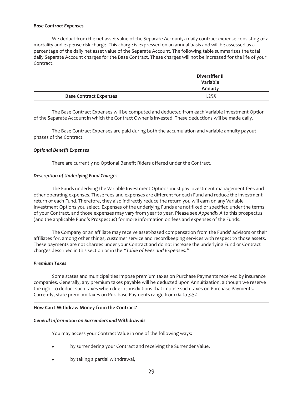#### *Base Contract Expenses*

We deduct from the net asset value of the Separate Account, a daily contract expense consisting of a mortality and expense risk charge. This charge is expressed on an annual basis and will be assessed as a percentage of the daily net asset value of the Separate Account. The following table summarizes the total daily Separate Account charges for the Base Contract. These charges will not be increased for the life of your Contract.

|                               | <b>Diversifier II</b><br>Variable<br>Annuity |  |
|-------------------------------|----------------------------------------------|--|
| <b>Base Contract Expenses</b> | 1.25%                                        |  |

The Base Contract Expenses will be computed and deducted from each Variable Investment Option of the Separate Account in which the Contract Owner is invested. These deductions will be made daily.

The Base Contract Expenses are paid during both the accumulation and variable annuity payout phases of the Contract.

#### *Optional Benefit Expenses*

There are currently no Optional Benefit Riders offered under the Contract.

#### *Description of Underlying Fund Charges*

The Funds underlying the Variable Investment Options must pay investment management fees and other operating expenses. These fees and expenses are different for each Fund and reduce the investment return of each Fund. Therefore, they also indirectly reduce the return you will earn on any Variable Investment Options you select. Expenses of the underlying Funds are not fixed or specified under the terms of your Contract, and those expenses may vary from year to year. Please see *Appendix A* to this prospectus (and the applicable Fund's Prospectus) for more information on fees and expenses of the Funds.

The Company or an affiliate may receive asset-based compensation from the Funds' advisors or their affiliates for, among other things, customer service and recordkeeping services with respect to those assets. These payments are not charges under your Contract and do not increase the underlying Fund or Contract charges described in this section or in the "Table of Fees and Expenses."

#### *Premium Taxes*

Some states and municipalities impose premium taxes on Purchase Payments received by insurance companies. Generally, any premium taxes payable will be deducted upon Annuitization, although we reserve the right to deduct such taxes when due in jurisdictions that impose such taxes on Purchase Payments. Currently, state premium taxes on Purchase Payments range from 0% to 3.5%.

#### <span id="page-29-0"></span>**How Can I Withdraw Money from the Contract?**

#### *General Information on Surrenders and Withdrawals*

You may access your Contract Value in one of the following ways:

- by surrendering your Contract and receiving the Surrender Value,
- by taking a partial withdrawal,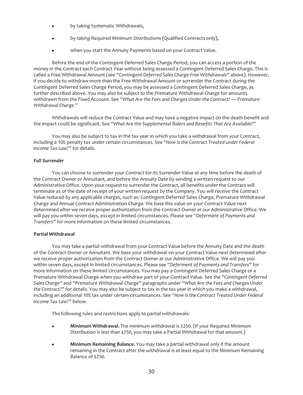- by taking Systematic Withdrawals,
- by taking Required Minimum Distributions (Qualified Contracts only),
- when you start the Annuity Payments based on your Contract Value.

Before the end of the Contingent Deferred Sales Charge Period, you can access a portion of the money in the Contract each Contract Year without being assessed a Contingent Deferred Sales Charge. This is called a Free Withdrawal Amount (see *"Contingent Deferred Sales Charge-Free Withdrawals*" above). However, if you decide to withdraw more than the Free Withdrawal Amount or surrender the Contract during the Contingent Deferred Sales Charge Period, you may be assessed a Contingent Deferred Sales Charge, as further described above. You may also be subject to the Premature Withdrawal Charge for amounts withdrawn from the Fixed Account. See *"What Are the Fees and Charges Under the Contract? — Premature Withdrawal Charge."*

Withdrawals will reduce the Contract Value and may have a negative impact on the death benefit and the impact could be significant. See "*What Are the Supplemental Riders and Benefits That Are Available?*"

You may also be subject to tax in the tax year in which you take a withdrawal from your Contract, including a 10% penalty tax under certain circumstances. See *"How Is the Contract Treated under Federal Income Tax Law?"* for details.

#### *Full Surrender*

You can choose to surrender your Contract for its Surrender Value at any time before the death of the Contract Owner or Annuitant, and before the Annuity Date by sending a written request to our Administrative Office. Upon your request to surrender the Contract, all benefits under the Contract will terminate as of the date of receipt of your written request by the Company. You will receive the Contract Value reduced by any applicable charges, such as: Contingent Deferred Sales Charge, Premature Withdrawal Charge and Annual Contract Administration Charge. We base this value on your Contract Value next determined after we receive proper authorization from the Contract Owner at our Administrative Office. We will pay you within seven days, except in limited circumstances. Please see "*Deferment of Payments and Transfers*" for more information on these limited circumstances.

#### **Partial Withdrawal**

You may take a partial withdrawal from your Contract Value before the Annuity Date and the death of the Contract Owner or Annuitant. We base your withdrawal on your Contract Value next determined after we receive proper authorization from the Contract Owner at our Administrative Office. We will pay you within seven days, except in limited circumstances. Please see "*Deferment of Payments and Transfers*" for more information on these limited circumstances. You may pay a Contingent Deferred Sales Charge or a Premature Withdrawal Charge when you withdraw part of your Contract Value. See the "*Contingent Deferred Sales Charge"* and *"Premature Withdrawal Charge"* paragraphs under *"What Are the Fees and Charges Under the Contract?"* for details. You may also be subject to tax in the tax year in which you make a withdrawal, including an additional 10% tax under certain circumstances. See *"How is the Contract Treated Under Federal Income Tax Law?"* below.

The following rules and restrictions apply to partial withdrawals:

- **Minimum Withdrawal.** The minimum withdrawal is \$250. (If your Required Minimum Distribution is less than \$250, you may take a Partial Withdrawal for that amount.)
- Minimum Remaining Balance. You may take a partial withdrawal only if the amount remaining in the Contract after the withdrawal is at least equal to the Minimum Remaining Balance of \$250.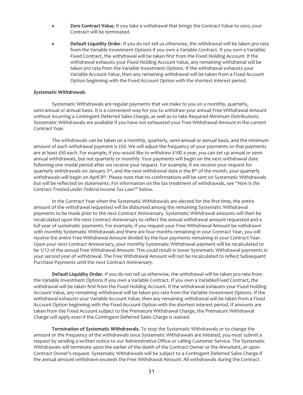- Zero Contract Value. If you take a withdrawal that brings the Contract Value to zero, your Contract will be terminated.
- Default Liquidity Order. If you do not tell us otherwise, the withdrawal will be taken pro-rata from the Variable Investment Options if you own a Variable Contract. If you own a Variable/ Fixed Contract, the withdrawal will be taken first from the Fixed Holding Account. If the withdrawal exhausts your Fixed Holding Account Value, any remaining withdrawal will be taken pro rata from the Variable Investment Options. If the withdrawal exhausts your Variable Account Value, then any remaining withdrawal will be taken from a Fixed Account Option beginning with the Fixed Account Option with the shortest interest period.

#### *Systematic Withdrawals*

Systematic Withdrawals are regular payments that we make to you on a monthly, quarterly, semi-annual or annual basis. It is a convenient way for you to withdraw your annual Free Withdrawal Amount without incurring a Contingent Deferred Sales Charge, as well as to take Required Minimum Distributions. Systematic Withdrawals are available if you have not exhausted your Free Withdrawal Amount in the current Contract Year.

The withdrawals can be taken on a monthly, quarterly, semi-annual or annual basis, and the minimum amount of each withdrawal payment is \$50. We will adjust the frequency of your payments so that payments are at least \$50 each. For example, if you would like to withdraw \$100 a year, you can set up annual or semiannual withdrawals, but not quarterly or monthly. Your payments will begin on the next withdrawal date following one modal period after we receive your request. For example, if we receive your request for quarterly withdrawals on January 3<sup>rd</sup>, and the next withdrawal date is the 8<sup>th</sup> of the month, your quarterly withdrawals will begin on April 8th. Please note that no confirmations will be sent on Systematic Withdrawals but will be reflected on statements. For information on the tax treatment of withdrawals, see *"How Is the Contract Treated under Federal Income Tax Law?"* below.

In the Contract Year when the Systematic Withdrawals are elected for the first time, the entire amount of the withdrawal requested will be disbursed among the remaining Systematic Withdrawal payments to be made prior to the next Contract Anniversary. Systematic Withdrawal amounts will then be recalculated upon the next Contract Anniversary to reflect the annual withdrawal amount requested and a full year of systematic payments. For example, if you request your Free Withdrawal Amount be withdrawn with monthly Systematic Withdrawals and there are four months remaining in your Contract Year, you will receive the entire Free Withdrawal Amount divided by the four payments remaining in your Contract Year. Upon your next Contract Anniversary, your monthly Systematic Withdrawal payment will be recalculated to be 1/12 of the annual Free Withdrawal Amount. This could result in lower Systematic Withdrawal payments in your second year of withdrawal. The Free Withdrawal Amount will not be recalculated to reflect Subsequent Purchase Payments until the next Contract Anniversary.

**Default Liquidity Order.** If you do not tell us otherwise, the withdrawal will be taken pro-rata from the Variable Investment Options if you own a Variable Contract. If you own a Variable/Fixed Contract, the withdrawal will be taken first from the Fixed Holding Account. If the withdrawal exhausts your Fixed Holding Account Value, any remaining withdrawal will be taken pro rata from the Variable Investment Options. If the withdrawal exhausts your Variable Account Value, then any remaining withdrawal will be taken from a Fixed Account Option beginning with the Fixed Account Option with the shortest interest period. If amounts are taken from the Fixed Account subject to the Premature Withdrawal Charge, the Premature Withdrawal Charge will apply even if the Contingent Deferred Sales Charge is waived.

**Termination of Systematic Withdrawals.** To stop the Systematic Withdrawals or to change the amount or the frequency of the withdrawals once Systematic Withdrawals are initiated, you must submit a request by sending a written notice to our Administrative Office or calling Customer Service. The Systematic Withdrawals will terminate upon the earlier of the death of the Contract Owner or the Annuitant, or upon Contract Owner's request. Systematic Withdrawals will be subject to a Contingent Deferred Sales Charge if the annual amount withdrawn exceeds the Free Withdrawal Amount. All withdrawals during the Contract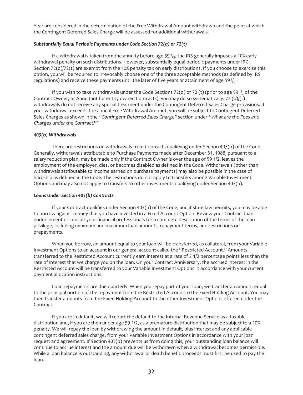Year are considered in the determination of the Free Withdrawal Amount withdrawn and the point at which the Contingent Deferred Sales Charge will be assessed for additional withdrawals.

#### *Substantially Equal Periodic Payments under Code Section 72(q) or 72(t)*

If a withdrawal is taken from the annuity before age 59 $1/2$ , the IRS generally imposes a 10% early withdrawal penalty on such distributions. However, substantially equal periodic payments under IRC Section  $72(q)/72(t)$  are exempt from the 10% penalty tax on early distributions. If you choose to exercise this option, you will be required to irrevocably choose one of the three acceptable methods (as defined by IRS regulations) and receive these payments until the later of five years or attainment of age 59 $\frac{1}{2}$ .

If you wish to take withdrawals under the Code Sections 72(q) or 72 (t) (prior to age 59 $\frac{1}{2}$ , of the Contract Owner, or Annuitant for entity owned Contracts), you may do so systematically. 72 (q)/(t) withdrawals do not receive any special treatment under the Contingent Deferred Sales Charge provisions. If your withdrawal exceeds the annual Free Withdrawal Amount, you will be subject to Contingent Deferred Sales Charges as shown in the "Contingent Deferred Sales Charge" section under "What are the Fees and Charges under the Contract?"

#### *403(b) Withdrawals*

There are restrictions on withdrawals from Contracts qualifying under Section 403(b) of the Code. Generally, withdrawals attributable to Purchase Payments made after December 31, 1988, pursuant to a salary reduction plan, may be made only if the Contract Owner is over the age of 59 1/2, leaves the employment of the employer, dies, or becomes disabled as defined in the Code. Withdrawals (other than withdrawals attributable to income earned on purchase payments) may also be possible in the case of hardship as defined in the Code. The restrictions do not apply to transfers among Variable Investment Options and may also not apply to transfers to other investments qualifying under Section 403(b).

#### *Loans Under Section 403(b) Contracts*

If your Contract qualifies under Section 403(b) of the Code, and if state law permits, you may be able to borrow against money that you have invested in a Fixed Account Option. Review your Contract loan endorsement or consult your financial professionals for a complete description of the terms of the loan privilege, including minimum and maximum loan amounts, repayment terms, and restrictions on prepayments.

When you borrow, an amount equal to your loan will be transferred, as collateral, from your Variable Investment Options to an account in our general account called the "Restricted Account." Amounts transferred to the Restricted Account currently earn interest at a rate of 2 1/2 percentage points less than the rate of interest that we charge you on the loan. On your Contract Anniversary, the accrued interest in the Restricted Account will be transferred to your Variable Investment Options in accordance with your current payment allocation instructions.

Loan repayments are due quarterly. When you repay part of your loan, we transfer an amount equal to the principal portion of the repayment from the Restricted Account to the Fixed Holding Account. You may then transfer amounts from the Fixed Holding Account to the other Investment Options offered under the Contract.

If you are in default, we will report the default to the Internal Revenue Service as a taxable distribution and, if you are then under age 59 1/2, as a premature distribution that may be subject to a 10% penalty. We will repay the loan by withdrawing the amount in default, plus interest and any applicable contingent deferred sales charge, from your Variable Investment Options in accordance with your loan request and agreement. If Section 403(b) prevents us from doing this, your outstanding loan balance will continue to accrue interest and the amount due will be withdrawn when a withdrawal becomes permissible. While a loan balance is outstanding, any withdrawal or death benefit proceeds must first be used to pay the loan.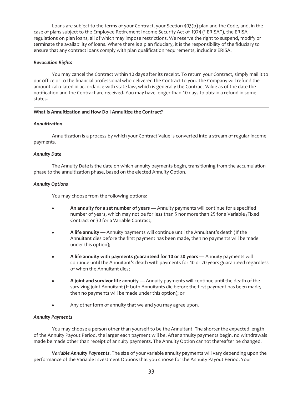Loans are subject to the terms of your Contract, your Section 403(b) plan and the Code, and, in the case of plans subject to the Employee Retirement Income Security Act of 1974 ("ERISA"), the ERISA regulations on plan loans, all of which may impose restrictions. We reserve the right to suspend, modify or terminate the availability of loans. Where there is a plan fiduciary, it is the responsibility of the fiduciary to ensure that any contract loans comply with plan qualification requirements, including ERISA.

#### *Revocation Rights*

You may cancel the Contract within 10 days after its receipt. To return your Contract, simply mail it to our office or to the financial professional who delivered the Contract to you. The Company will refund the amount calculated in accordance with state law, which is generally the Contract Value as of the date the notification and the Contract are received. You may have longer than 10 days to obtain a refund in some states.

#### <span id="page-33-0"></span>**What is Annuitization and How Do I Annuitize the Contract?**

#### *Annuitization*

Annuitization is a process by which your Contract Value is converted into a stream of regular income payments.

#### *Annuity Date*

The Annuity Date is the date on which annuity payments begin, transitioning from the accumulation phase to the annuitization phase, based on the elected Annuity Option.

#### *Annuity Options*

You may choose from the following options:

- An annuity for a set number of years Annuity payments will continue for a specified number of years, which may not be for less than 5 nor more than 25 for a Variable /Fixed Contract or 30 for a Variable Contract;
- **A life annuity** Annuity payments will continue until the Annuitant's death (If the Annuitant dies before the first payment has been made, then no payments will be made under this option);
- A life annuity with payments guaranteed for 10 or 20 years Annuity payments will continue until the Annuitant's death with payments for 10 or 20 years guaranteed regardless of when the Annuitant dies;
- **A joint and survivor life annuity —** Annuity payments will continue until the death of the surviving joint Annuitant (If both Annuitants die before the first payment has been made, then no payments will be made under this option); or
- Any other form of annuity that we and you may agree upon.

#### *Annuity Payments*

You may choose a person other than yourself to be the Annuitant. The shorter the expected length of the Annuity Payout Period, the larger each payment will be. After annuity payments begin, no withdrawals made be made other than receipt of annuity payments. The Annuity Option cannot thereafter be changed.

*Variable Annuity Payments*. The size of your variable annuity payments will vary depending upon the performance of the Variable Investment Options that you choose for the Annuity Payout Period. Your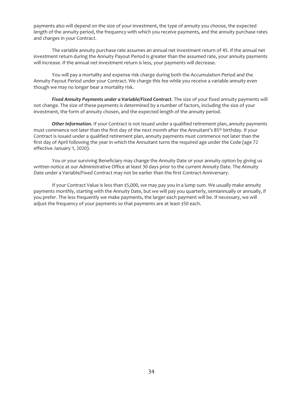payments also will depend on the size of your investment, the type of annuity you choose, the expected length of the annuity period, the frequency with which you receive payments, and the annuity purchase rates and charges in your Contract.

The variable annuity purchase rate assumes an annual net investment return of 4%. If the annual net investment return during the Annuity Payout Period is greater than the assumed rate, your annuity payments will increase. If the annual net investment return is less, your payments will decrease.

You will pay a mortality and expense risk charge during both the Accumulation Period and the Annuity Payout Period under your Contract. We charge this fee while you receive a variable annuity even though we may no longer bear a mortality risk.

*Fixed Annuity Payments under a Variable/Fixed Contract*. The size of your fixed annuity payments will not change. The size of these payments is determined by a number of factors, including the size of your investment, the form of annuity chosen, and the expected length of the annuity period.

*Other Information.* If your Contract is not issued under a qualified retirement plan, annuity payments must commence not later than the first day of the next month after the Annuitant's 85th birthday. If your Contract is issued under a qualified retirement plan, annuity payments must commence not later than the first day of April following the year in which the Annuitant turns the required age under the Code (age 72 effective January 1, 2020).

You or your surviving Beneficiary may change the Annuity Date or your annuity option by giving us written notice at our Administrative Office at least 30 days prior to the current Annuity Date. The Annuity Date under a Variable/Fixed Contract may not be earlier than the first Contract Anniversary.

If your Contract Value is less than \$5,000, we may pay you in a lump sum. We usually make annuity payments monthly, starting with the Annuity Date, but we will pay you quarterly, semiannually or annually, if you prefer. The less frequently we make payments, the larger each payment will be. If necessary, we will adjust the frequency of your payments so that payments are at least \$50 each.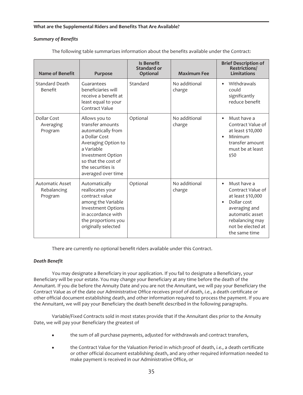#### <span id="page-35-0"></span>**What are the Supplemental Riders and Benefits That Are Available?**

# *Summary of Benefits*

| Name of Benefit                                  | <b>Purpose</b>                                                                                                                                                                                       | <b>Is Benefit</b><br>Standard or<br>Optional | <b>Maximum Fee</b>      | <b>Brief Description of</b><br><b>Restrictions/</b><br>Limitations                                                                                                |
|--------------------------------------------------|------------------------------------------------------------------------------------------------------------------------------------------------------------------------------------------------------|----------------------------------------------|-------------------------|-------------------------------------------------------------------------------------------------------------------------------------------------------------------|
| <b>Standard Death</b><br>Benefit                 | Guarantees<br>beneficiaries will<br>receive a benefit at<br>least equal to your<br>Contract Value                                                                                                    | Standard                                     | No additional<br>charge | Withdrawals<br>could<br>significantly<br>reduce benefit                                                                                                           |
| Dollar Cost<br>Averaging<br>Program              | Allows you to<br>transfer amounts<br>automatically from<br>a Dollar Cost<br>Averaging Option to<br>a Variable<br>Investment Option<br>so that the cost of<br>the securities is<br>averaged over time | Optional                                     | No additional<br>charge | Must have a<br>Contract Value of<br>at least \$10,000<br>Minimum<br>transfer amount<br>must be at least<br>\$50                                                   |
| <b>Automatic Asset</b><br>Rebalancing<br>Program | Automatically<br>reallocates your<br>contract value<br>among the Variable<br><b>Investment Options</b><br>in accordance with<br>the proportions you<br>originally selected                           | Optional                                     | No additional<br>charge | Must have a<br>Contract Value of<br>at least \$10,000<br>Dollar cost<br>averaging and<br>automatic asset<br>rebalancing may<br>not be elected at<br>the same time |

The following table summarizes information about the benefits available under the Contract:

There are currently no optional benefit riders available under this Contract.

# *Death Benefit*

You may designate a Beneficiary in your application. If you fail to designate a Beneficiary, your Beneficiary will be your estate. You may change your Beneficiary at any time before the death of the Annuitant. If you die before the Annuity Date and you are not the Annuitant, we will pay your Beneficiary the Contract Value as of the date our Administrative Office receives proof of death, *i.e.*, a death certificate or other official document establishing death, and other information required to process the payment. If you are the Annuitant, we will pay your Beneficiary the death benefit described in the following paragraphs.

Variable/Fixed Contracts sold in most states provide that if the Annuitant dies prior to the Annuity Date, we will pay your Beneficiary the greatest of

- the sum of all purchase payments, adjusted for withdrawals and contract transfers,
- the Contract Value for the Valuation Period in which proof of death, *i.e.*, a death certificate or other official document establishing death, and any other required information needed to make payment is received in our Administrative Office, or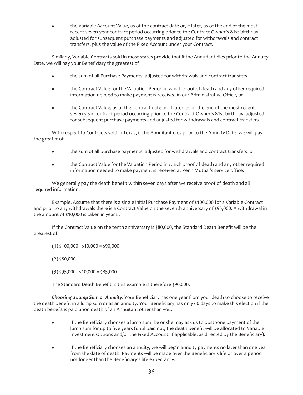the Variable Account Value, as of the contract date or, if later, as of the end of the most recent seven-year contract period occurring prior to the Contract Owner's 81st birthday, adjusted for subsequent purchase payments and adjusted for withdrawals and contract transfers, plus the value of the Fixed Account under your Contract.

Similarly, Variable Contracts sold in most states provide that if the Annuitant dies prior to the Annuity Date, we will pay your Beneficiary the greatest of

- the sum of all Purchase Payments, adjusted for withdrawals and contract transfers,
- the Contract Value for the Valuation Period in which proof of death and any other required information needed to make payment is received in our Administrative Office, or
- the Contract Value, as of the contract date or, if later, as of the end of the most recent seven-year contract period occurring prior to the Contract Owner's 81st birthday, adjusted for subsequent purchase payments and adjusted for withdrawals and contract transfers.

With respect to Contracts sold in Texas, if the Annuitant dies prior to the Annuity Date, we will pay the greater of

- the sum of all purchase payments, adjusted for withdrawals and contract transfers, or
- the Contract Value for the Valuation Period in which proof of death and any other required information needed to make payment is received at Penn Mutual's service office.

We generally pay the death benefit within seven days after we receive proof of death and all required information.

Example. Assume that there is a single initial Purchase Payment of \$100,000 for a Variable Contract and prior to any withdrawals there is a Contract Value on the seventh anniversary of \$95,000. A withdrawal in the amount of \$10,000 is taken in year 8.

If the Contract Value on the tenth anniversary is \$80,000, the Standard Death Benefit will be the greatest of:

 $(1)$  \$100,000 - \$10,000 = \$90,000

 $(2)$  \$80,000

 $(3)$  \$95,000 - \$10,000 = \$85,000

The Standard Death Benefit in this example is therefore \$90,000.

*Choosing a Lump Sum or Annuity*. Your Beneficiary has one year from your death to choose to receive the death benefit in a lump sum or as an annuity. Your Beneficiary has only 60 days to make this election if the death benefit is paid upon death of an Annuitant other than you.

- If the Beneficiary chooses a lump sum, he or she may ask us to postpone payment of the lump sum for up to five years (until paid out, the death benefit will be allocated to Variable Investment Options and/or the Fixed Account, if applicable, as directed by the Beneficiary).
- If the Beneficiary chooses an annuity, we will begin annuity payments no later than one year from the date of death. Payments will be made over the Beneficiary's life or over a period not longer than the Beneficiary's life expectancy.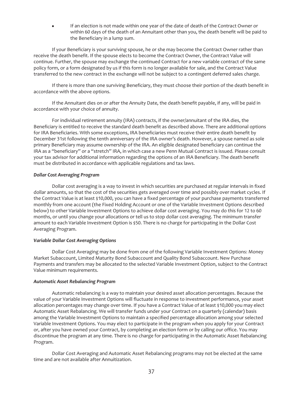If an election is not made within one year of the date of death of the Contract Owner or within 60 days of the death of an Annuitant other than you, the death benefit will be paid to the Beneficiary in a lump sum.

If your Beneficiary is your surviving spouse, he or she may become the Contract Owner rather than receive the death benefit. If the spouse elects to become the Contract Owner, the Contract Value will continue. Further, the spouse may exchange the continued Contract for a new variable contract of the same policy form, or a form designated by us if this form is no longer available for sale, and the Contract Value transferred to the new contract in the exchange will not be subject to a contingent deferred sales charge.

If there is more than one surviving Beneficiary, they must choose their portion of the death benefit in accordance with the above options.

If the Annuitant dies on or after the Annuity Date, the death benefit payable, if any, will be paid in accordance with your choice of annuity.

For individual retirement annuity (IRA) contracts, if the owner/annuitant of the IRA dies, the Beneficiary is entitled to receive the standard death benefit as described above. There are additional options for IRA Beneficiaries. With some exceptions, IRA beneficiaries must receive their entire death benefit by December 31st following the tenth anniversary of the IRA owner's death. However, a spouse named as sole primary Beneficiary may assume ownership of the IRA. An eligible designated beneficiary can continue the IRA as a "beneficiary" or a "stretch" IRA, in which case a new Penn Mutual Contract is issued. Please consult your tax advisor for additional information regarding the options of an IRA Beneficiary. The death benefit must be distributed in accordance with applicable regulations and tax laws.

#### *Dollar Cost Averaging Program*

Dollar cost averaging is a way to invest in which securities are purchased at regular intervals in fixed dollar amounts, so that the cost of the securities gets averaged over time and possibly over market cycles. If the Contract Value is at least \$10,000, you can have a fixed percentage of your purchase payments transferred monthly from one account (the Fixed Holding Account or one of the Variable Investment Options described below) to other Variable Investment Options to achieve dollar cost averaging. You may do this for 12 to 60 months, or until you change your allocations or tell us to stop dollar cost averaging. The minimum transfer amount to each Variable Investment Option is \$50. There is no charge for participating in the Dollar Cost Averaging Program.

#### *Variable Dollar Cost Averaging Options*

Dollar Cost Averaging may be done from one of the following Variable Investment Options: Money Market Subaccount, Limited Maturity Bond Subaccount and Quality Bond Subaccount. New Purchase Payments and transfers may be allocated to the selected Variable Investment Option, subject to the Contract Value minimum requirements.

#### *Automatic Asset Rebalancing Program*

Automatic rebalancing is a way to maintain your desired asset allocation percentages. Because the value of your Variable Investment Options will fluctuate in response to investment performance, your asset allocation percentages may change over time. If you have a Contract Value of at least \$10,000 you may elect Automatic Asset Rebalancing. We will transfer funds under your Contract on a quarterly (calendar) basis among the Variable Investment Options to maintain a specified percentage allocation among your selected Variable Investment Options. You may elect to participate in the program when you apply for your Contract or, after you have owned your Contract, by completing an election form or by calling our office. You may discontinue the program at any time. There is no charge for participating in the Automatic Asset Rebalancing Program.

Dollar Cost Averaging and Automatic Asset Rebalancing programs may not be elected at the same time and are not available after Annuitization.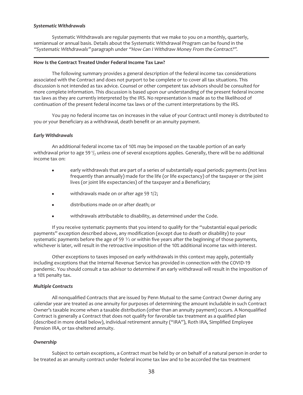#### *Systematic Withdrawals*

Systematic Withdrawals are regular payments that we make to you on a monthly, quarterly, semiannual or annual basis. Details about the Systematic Withdrawal Program can be found in the "Systematic Withdrawals" paragraph under "How Can <sup>I</sup> Withdraw Money From the Contract?".

#### <span id="page-38-0"></span>**How Is the Contract Treated Under Federal Income Tax Law?**

The following summary provides a general description of the federal income tax considerations associated with the Contract and does not purport to be complete or to cover all tax situations. This discussion is not intended as tax advice. Counsel or other competent tax advisors should be consulted for more complete information. This discussion is based upon our understanding of the present federal income tax laws as they are currently interpreted by the IRS. No representation is made as to the likelihood of continuation of the present federal income tax laws or of the current interpretations by the IRS.

You pay no federal income tax on increases in the value of your Contract until money is distributed to you or your Beneficiary as a withdrawal, death benefit or an annuity payment.

#### *Early Withdrawals*

An additional federal income tax of 10% may be imposed on the taxable portion of an early withdrawal prior to age 59 $\frac{1}{2}$  unless one of several exceptions applies. Generally, there will be no additional income tax on:

- early withdrawals that are part of a series of substantially equal periodic payments (not less frequently than annually) made for the life (or life expectancy) of the taxpayer or the joint lives (or joint life expectancies) of the taxpayer and a Beneficiary;
- $\bullet$  withdrawals made on or after age 59 1/2;
- $\bullet$  distributions made on or after death; or
- withdrawals attributable to disability, as determined under the Code.

If you receive systematic payments that you intend to qualify for the "substantial equal periodic payments" exception described above, any modification (except due to death or disability) to your systematic payments before the age of 59  $\frac{1}{2}$  or within five years after the beginning of those payments, whichever is later, will result in the retroactive imposition of the 10% additional income tax with interest.

Other exceptions to taxes imposed on early withdrawals in this context may apply, potentially including exceptions that the Internal Revenue Service has provided in connection with the COVID-19 pandemic. You should consult a tax advisor to determine if an early withdrawal will result in the imposition of a 10% penalty tax.

#### *Multiple Contracts*

All nonqualified Contracts that are issued by Penn Mutual to the same Contract Owner during any calendar year are treated as one annuity for purposes of determining the amount includable in such Contract Owner's taxable income when a taxable distribution (other than an annuity payment) occurs. A Nonqualified Contract is generally a Contract that does not qualify for favorable tax treatment as a qualified plan (described in more detail below), individual retirement annuity ("IRA"), Roth IRA, Simplified Employee Pension IRA, or tax-sheltered annuity.

#### *Ownership*

Subject to certain exceptions, a Contract must be held by or on behalf of a natural person in order to be treated as an annuity contract under federal income tax law and to be accorded the tax treatment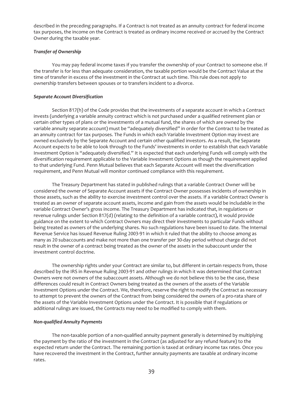described in the preceding paragraphs. If a Contract is not treated as an annuity contract for federal income tax purposes, the income on the Contract is treated as ordinary income received or accrued by the Contract Owner during the taxable year.

#### *Transfer of Ownership*

You may pay federal income taxes if you transfer the ownership of your Contract to someone else. If the transfer is for less than adequate consideration, the taxable portion would be the Contract Value at the time of transfer in excess of the investment in the Contract at such time. This rule does not apply to ownership transfers between spouses or to transfers incident to a divorce.

#### *Separate Account Diversification*

Section 817(h) of the Code provides that the investments of a separate account in which a Contract invests (underlying a variable annuity contract which is not purchased under a qualified retirement plan or certain other types of plans or the investments of a mutual fund, the shares of which are owned by the variable annuity separate account) must be "adequately diversified" in order for the Contract to be treated as an annuity contract for tax purposes. The Funds in which each Variable Investment Option may invest are owned exclusively by the Separate Account and certain other qualified investors. As a result, the Separate Account expects to be able to look through to the Funds' investments in order to establish that each Variable Investment Option is "adequately diversified." It is expected that each underlying Funds will comply with the diversification requirement applicable to the Variable Investment Options as though the requirement applied to that underlying Fund. Penn Mutual believes that each Separate Account will meet the diversification requirement, and Penn Mutual will monitor continued compliance with this requirement.

The Treasury Department has stated in published rulings that a variable Contract Owner will be considered the owner of Separate Account assets if the Contract Owner possesses incidents of ownership in those assets, such as the ability to exercise investment control over the assets. If a variable Contract Owner is treated as an owner of separate account assets, income and gain from the assets would be includable in the variable Contract Owner's gross income. The Treasury Department has indicated that, in regulations or revenue rulings under Section 817(d) (relating to the definition of a variable contract), it would provide guidance on the extent to which Contract Owners may direct their investments to particular Funds without being treated as owners of the underlying shares. No such regulations have been issued to date. The Internal Revenue Service has issued Revenue Ruling 2003-91 in which it ruled that the ability to choose among as many as 20 subaccounts and make not more than one transfer per 30-day period without charge did not result in the owner of a contract being treated as the owner of the assets in the subaccount under the investment control doctrine.

The ownership rights under your Contract are similar to, but different in certain respects from, those described by the IRS in Revenue Ruling 2003-91 and other rulings in which it was determined that Contract Owners were not owners of the subaccount assets. Although we do not believe this to be the case, these differences could result in Contract Owners being treated as the owners of the assets of the Variable Investment Options under the Contract. We, therefore, reserve the right to modify the Contract as necessary to attempt to prevent the owners of the Contract from being considered the owners of a pro-rata share of the assets of the Variable Investment Options under the Contract. It is possible that if regulations or additional rulings are issued, the Contracts may need to be modified to comply with them.

#### *Non-qualified Annuity Payments*

The non-taxable portion of a non-qualified annuity payment generally is determined by multiplying the payment by the ratio of the investment in the Contract (as adjusted for any refund feature) to the expected return under the Contract. The remaining portion is taxed at ordinary income tax rates. Once you have recovered the investment in the Contract, further annuity payments are taxable at ordinary income rates.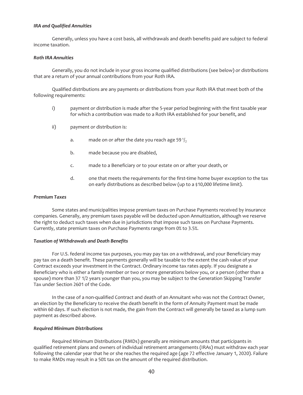#### *IRA and Qualified Annuities*

Generally, unless you have a cost basis, all withdrawals and death benefits paid are subject to federal income taxation.

### *Roth IRA Annuities*

Generally, you do not include in your gross income qualified distributions (see below) or distributions that are a return of your annual contributions from your Roth IRA.

Qualified distributions are any payments or distributions from your Roth IRA that meet both of the following requirements:

- i) payment or distribution is made after the 5-year period beginning with the first taxable year for which a contribution was made to a Roth IRA established for your benefit, and
- ii) payment or distribution is:
	- a. made on or after the date you reach age 59 $\frac{1}{2}$
	- b. made because you are disabled,
	- c. made to a Beneficiary or to your estate on or after your death, or
	- d. one that meets the requirements for the first-time home buyer exception to the tax on early distributions as described below (up to a \$10,000 lifetime limit).

#### *Premium Taxes*

Some states and municipalities impose premium taxes on Purchase Payments received by insurance companies. Generally, any premium taxes payable will be deducted upon Annuitization, although we reserve the right to deduct such taxes when due in jurisdictions that impose such taxes on Purchase Payments. Currently, state premium taxes on Purchase Payments range from 0% to 3.5%.

#### *Taxation of Withdrawals and Death Benefits*

For U.S. federal income tax purposes, you may pay tax on a withdrawal, and your Beneficiary may pay tax on a death benefit. These payments generally will be taxable to the extent the cash value of your Contract exceeds your investment in the Contract. Ordinary income tax rates apply. If you designate a Beneficiary who is either a family member or two or more generations below you, or a person (other than a spouse) more than 37 1/2 years younger than you, you may be subject to the Generation Skipping Transfer Tax under Section 2601 of the Code.

In the case of a non-qualified Contract and death of an Annuitant who was not the Contract Owner, an election by the Beneficiary to receive the death benefit in the form of Annuity Payment must be made within 60 days. If such election is not made, the gain from the Contract will generally be taxed as a lump sum payment as described above.

#### *Required Minimum Distributions*

Required Minimum Distributions (RMDs) generally are minimum amounts that participants in qualified retirement plans and owners of individual retirement arrangements (IRAs) must withdraw each year following the calendar year that he or she reaches the required age (age 72 effective January 1, 2020). Failure to make RMDs may result in a 50% tax on the amount of the required distribution.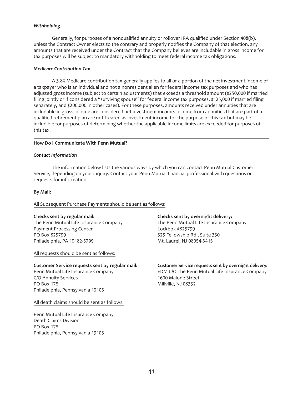#### *Withholding*

Generally, for purposes of a nonqualified annuity or rollover IRA qualified under Section 408(b), unless the Contract Owner elects to the contrary and properly notifies the Company of that election, any amounts that are received under the Contract that the Company believes are includable in gross income for tax purposes will be subject to mandatory withholding to meet federal income tax obligations.

#### *Medicare Contribution Tax*

A 3.8% Medicare contribution tax generally applies to all or a portion of the net investment income of a taxpayer who is an individual and not a nonresident alien for federal income tax purposes and who has adjusted gross income (subject to certain adjustments) that exceeds a threshold amount (\$250,000 if married filing jointly or if considered a "surviving spouse" for federal income tax purposes, \$125,000 if married filing separately, and \$200,000 in other cases). For these purposes, amounts received under annuities that are includable in gross income are considered net investment income. Income from annuities that are part of a qualified retirement plan are not treated as investment income for the purpose of this tax but may be includible for purposes of determining whether the applicable income limits are exceeded for purposes of this tax.

#### <span id="page-41-0"></span>**How Do I Communicate With Penn Mutual?**

#### *Contact Information*

The information below lists the various ways by which you can contact Penn Mutual Customer Service, depending on your inquiry. Contact your Penn Mutual financial professional with questions or requests for information.

#### **By Mail:**

#### All Subsequent Purchase Payments should be sent as follows:

#### **Checks sent by regular mail:**

The Penn Mutual Life Insurance Company Payment Processing Center PO Box 825799 Philadelphia, PA 19182-5799

All requests should be sent as follows:

#### **Customer Service requests sent by regular mail:**

Penn Mutual Life Insurance Company C/O Annuity Services PO Box 178 Philadelphia, Pennsylvania 19105

All death claims should be sent as follows:

Penn Mutual Life Insurance Company Death Claims Division PO Box 178 Philadelphia, Pennsylvania 19105

#### **Checks sent by overnight delivery:**

The Penn Mutual Life Insurance Company Lockbox #825799 525 Fellowship Rd., Suite 330 Mt. Laurel, NJ 08054-3415

# **Customer Service requests sent by overnight delivery:**

EDM C/O The Penn Mutual Life Insurance Company 1600 Malone Street Millville, NJ 08332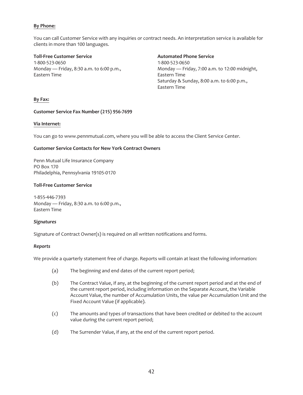# **By Phone:**

You can call Customer Service with any inquiries or contract needs. An interpretation service is available for clients in more than 100 languages.

**Toll-Free Customer Service** 1-800-523-0650 Monday — Friday, 8:30 a.m. to 6:00 p.m., Eastern Time

# **Automated Phone Service**

1-800-523-0650 Monday — Friday, 7:00 a.m. to 12:00 midnight, Eastern Time Saturday & Sunday, 8:00 a.m. to 6:00 p.m., Eastern Time

#### **By Fax:**

#### **Customer Service Fax Number (215) 956-7699**

#### **Via Internet:**

You can go to www.pennmutual.com, where you will be able to access the Client Service Center.

# **Customer Service Contacts for New York Contract Owners**

Penn Mutual Life Insurance Company PO Box 170 Philadelphia, Pennsylvania 19105-0170

#### **Toll-Free Customer Service**

1-855-446-7393 Monday — Friday, 8:30 a.m. to 6:00 p.m., Eastern Time

#### *Signatures*

Signature of Contract Owner(s) is required on all written notifications and forms.

# *Reports*

We provide a quarterly statement free of charge. Reports will contain at least the following information:

- (a) The beginning and end dates of the current report period;
- (b) The Contract Value, if any, at the beginning of the current report period and at the end of the current report period, including information on the Separate Account, the Variable Account Value, the number of Accumulation Units, the value per Accumulation Unit and the Fixed Account Value (if applicable).
- (c) The amounts and types of transactions that have been credited or debited to the account value during the current report period;
- (d) The Surrender Value, if any, at the end of the current report period.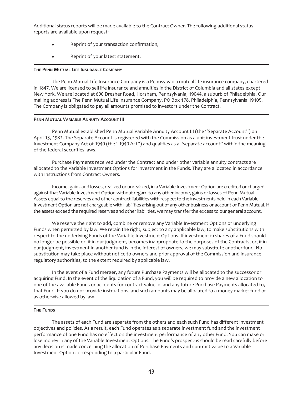Additional status reports will be made available to the Contract Owner. The following additional status reports are available upon request:

- Reprint of your transaction confirmation,
- Reprint of your latest statement.

#### <span id="page-43-0"></span>**THE PENN MUTUAL LIFE INSURANCE COMPANY**

The Penn Mutual Life Insurance Company is a Pennsylvania mutual life insurance company, chartered in 1847. We are licensed to sell life insurance and annuities in the District of Columbia and all states except New York. We are located at 600 Dresher Road, Horsham, Pennsylvania, 19044, a suburb of Philadelphia. Our mailing address is The Penn Mutual Life Insurance Company, PO Box 178, Philadelphia, Pennsylvania 19105. The Company is obligated to pay all amounts promised to investors under the Contract.

#### <span id="page-43-1"></span>**PENN MUTUAL VARIABLE ANNUITY ACCOUNT III**

Penn Mutual established Penn Mutual Variable Annuity Account III (the "Separate Account") on April 13, 1982. The Separate Account is registered with the Commission as a unit investment trust under the Investment Company Act of 1940 (the "1940 Act") and qualifies as a "separate account" within the meaning of the federal securities laws.

Purchase Payments received under the Contract and under other variable annuity contracts are allocated to the Variable Investment Options for investment in the Funds. They are allocated in accordance with instructions from Contract Owners.

Income, gains and losses, realized or unrealized, in a Variable Investment Option are credited or charged against that Variable Investment Option without regard to any other income, gains or losses of Penn Mutual. Assets equal to the reserves and other contract liabilities with respect to the investments held in each Variable Investment Option are not chargeable with liabilities arising out of any other business or account of Penn Mutual. If the assets exceed the required reserves and other liabilities, we may transfer the excess to our general account.

We reserve the right to add, combine or remove any Variable Investment Options or underlying Funds when permitted by law. We retain the right, subject to any applicable law, to make substitutions with respect to the underlying Funds of the Variable Investment Options. If investment in shares of a Fund should no longer be possible or, if in our judgment, becomes inappropriate to the purposes of the Contracts, or, if in our judgment, investment in another fund is in the interest of owners, we may substitute another fund. No substitution may take place without notice to owners and prior approval of the Commission and insurance regulatory authorities, to the extent required by applicable law.

In the event of a Fund merger, any future Purchase Payments will be allocated to the successor or acquiring Fund. In the event of the liquidation of a Fund, you will be required to provide a new allocation to one of the available Funds or accounts for contract value in, and any future Purchase Payments allocated to, that Fund. If you do not provide instructions, and such amounts may be allocated to a money market fund or as otherwise allowed by law.

#### <span id="page-43-2"></span>**THE FUNDS**

The assets of each Fund are separate from the others and each such Fund has different investment objectives and policies. As a result, each Fund operates as a separate investment fund and the investment performance of one Fund has no effect on the investment performance of any other Fund. You can make or lose money in any of the Variable Investment Options. The Fund's prospectus should be read carefully before any decision is made concerning the allocation of Purchase Payments and contract value to a Variable Investment Option corresponding to a particular Fund.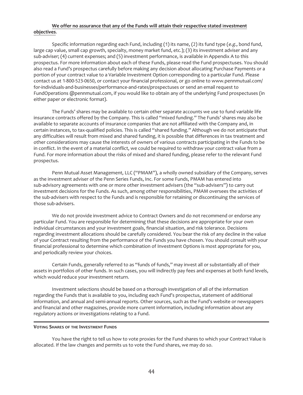#### **We offer no assurance that any of the Funds will attain their respective stated** i**nvestment objectives**.

Specific information regarding each Fund, including  $(1)$  its name,  $(2)$  its fund type  $(e.g.,)$  bond fund, large cap value, small cap growth, specialty, money market fund, etc.); (3) its investment adviser and any sub-adviser; (4) current expenses; and (5) investment performance, is available in Appendix A to this prospectus. For more information about each of these Funds, please read the Fund prospectuses. You should also read a Fund's prospectus carefully before making any decision about allocating Purchase Payments or a portion of your contract value to a Variable Investment Option corresponding to a particular Fund. Please contact us at 1-800-523-0650, or contact your financial professional, or go online to www.pennmutual.com/ for-individuals-and-businesses/performance-and-rates/prospectuses or send an email request to FundOperations @pennmutual.com, if you would like to obtain any of the underlying Fund prospectuses (in either paper or electronic format).

The Funds' shares may be available to certain other separate accounts we use to fund variable life insurance contracts offered by the Company. This is called "mixed funding." The Funds' shares may also be available to separate accounts of insurance companies that are not affiliated with the Company and, in certain instances, to tax-qualified policies. This is called "shared funding." Although we do not anticipate that any difficulties will result from mixed and shared funding, it is possible that differences in tax treatment and other considerations may cause the interests of owners of various contracts participating in the Funds to be in conflict. In the event of a material conflict, we could be required to withdraw your contract value from a Fund. For more information about the risks of mixed and shared funding, please refer to the relevant Fund prospectus.

Penn Mutual Asset Management, LLC ("PMAM"), a wholly owned subsidiary of the Company, serves as the investment adviser of the Penn Series Funds, Inc. For some Funds, PMAM has entered into sub-advisory agreements with one or more other investment advisers (the "sub-advisers") to carry out investment decisions for the Funds. As such, among other responsibilities, PMAM oversees the activities of the sub-advisers with respect to the Funds and is responsible for retaining or discontinuing the services of those sub-advisers.

We do not provide investment advice to Contract Owners and do not recommend or endorse any particular Fund. You are responsible for determining that these decisions are appropriate for your own individual circumstances and your investment goals, financial situation, and risk tolerance. Decisions regarding investment allocations should be carefully considered. You bear the risk of any decline in the value of your Contract resulting from the performance of the Funds you have chosen. You should consult with your financial professional to determine which combination of Investment Options is most appropriate for you, and periodically review your choices.

Certain Funds, generally referred to as "funds of funds," may invest all or substantially all of their assets in portfolios of other funds. In such cases, you will indirectly pay fees and expenses at both fund levels, which would reduce your investment return.

Investment selections should be based on a thorough investigation of all of the information regarding the Funds that is available to you, including each Fund's prospectus, statement of additional information, and annual and semi-annual reports. Other sources, such as the Fund's website or newspapers and financial and other magazines, provide more current information, including information about any regulatory actions or investigations relating to a Fund.

#### <span id="page-44-0"></span>**VOTING SHARES OF THE INVESTMENT FUNDS**

You have the right to tell us how to vote proxies for the Fund shares to which your Contract Value is allocated. If the law changes and permits us to vote the Fund shares, we may do so.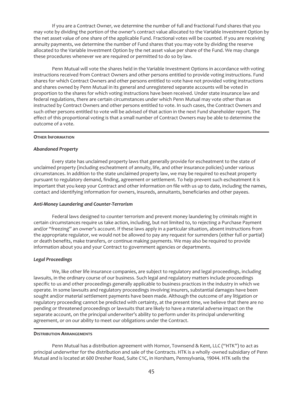If you are a Contract Owner, we determine the number of full and fractional Fund shares that you may vote by dividing the portion of the owner's contract value allocated to the Variable Investment Option by the net asset value of one share of the applicable Fund. Fractional votes will be counted. If you are receiving annuity payments, we determine the number of Fund shares that you may vote by dividing the reserve allocated to the Variable Investment Option by the net asset value per share of the Fund. We may change these procedures whenever we are required or permitted to do so by law.

Penn Mutual will vote the shares held in the Variable Investment Options in accordance with voting instructions received from Contract Owners and other persons entitled to provide voting instructions. Fund shares for which Contract Owners and other persons entitled to vote have not provided voting instructions and shares owned by Penn Mutual in its general and unregistered separate accounts will be voted in proportion to the shares for which voting instructions have been received. Under state insurance law and federal regulations, there are certain circumstances under which Penn Mutual may vote other than as instructed by Contract Owners and other persons entitled to vote. In such cases, the Contract Owners and such other persons entitled to vote will be advised of that action in the next Fund shareholder report. The effect of this proportional voting is that a small number of Contract Owners may be able to determine the outcome of a vote.

#### <span id="page-45-0"></span>**OTHER INFORMATION**

#### *Abandoned Property*

Every state has unclaimed property laws that generally provide for escheatment to the state of unclaimed property (including escheatment of annuity, life, and other insurance policies) under various circumstances. In addition to the state unclaimed property law, we may be required to escheat property pursuant to regulatory demand, finding, agreement or settlement. To help prevent such escheatment it is important that you keep your Contract and other information on file with us up to date, including the names, contact and identifying information for owners, insureds, annuitants, beneficiaries and other payees.

#### *Anti-Money Laundering and Counter-Terrorism*

Federal laws designed to counter terrorism and prevent money laundering by criminals might in certain circumstances require us take action, including, but not limited to, to rejecting a Purchase Payment and/or "freezing" an owner's account. If these laws apply in a particular situation, absent instructions from the appropriate regulator, we would not be allowed to pay any request for surrenders (either full or partial) or death benefits, make transfers, or continue making payments. We may also be required to provide information about you and your Contract to government agencies or departments.

#### *Legal Proceedings*

We, like other life insurance companies, are subject to regulatory and legal proceedings, including lawsuits, in the ordinary course of our business. Such legal and regulatory matters include proceedings specific to us and other proceedings generally applicable to business practices in the industry in which we operate. In some lawsuits and regulatory proceedings involving insurers, substantial damages have been sought and/or material settlement payments have been made. Although the outcome of any litigation or regulatory proceeding cannot be predicted with certainty, at the present time, we believe that there are no pending or threatened proceedings or lawsuits that are likely to have a material adverse impact on the separate account, on the principal underwriter's ability to perform under its principal underwriting agreement, or on our ability to meet our obligations under the Contract.

#### <span id="page-45-1"></span>**DISTRIBUTION ARRANGEMENTS**

Penn Mutual has a distribution agreement with Hornor, Townsend & Kent, LLC ("HTK") to act as principal underwriter for the distribution and sale of the Contracts. HTK is a wholly -owned subsidiary of Penn Mutual and is located at 600 Dresher Road, Suite C1C, in Horsham, Pennsylvania, 19044. HTK sells the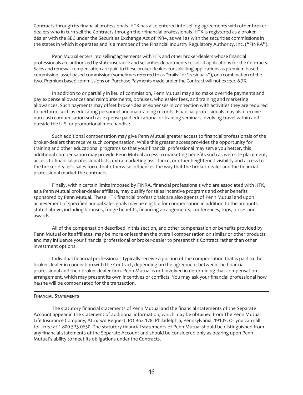Contracts through its financial professionals. HTK has also entered into selling agreements with other brokerdealers who in turn sell the Contracts through their financial professionals. HTK is registered as a brokerdealer with the SEC under the Securities Exchange Act of 1934, as well as with the securities commissions in the states in which it operates and is a member of the Financial Industry Regulatory Authority, Inc. ("FINRA").

Penn Mutual enters into selling agreements with HTK and other broker-dealers whose financial professionals are authorized by state insurance and securities departments to solicit applications for the Contracts. Sales and renewal compensation are paid to these broker-dealers for soliciting applications as premium-based commission, asset-based commission (sometimes referred to as "trails" or "residuals"), or a combination of the two. Premium-based commissions on Purchase Payments made under the Contract will not exceed 6.7%.

In addition to or partially in lieu of commission, Penn Mutual may also make override payments and pay expense allowances and reimbursements, bonuses, wholesaler fees, and training and marketing allowances. Such payments may offset broker-dealer expenses in connection with activities they are required to perform, such as educating personnel and maintaining records. Financial professionals may also receive non-cash compensation such as expense-paid educational or training seminars involving travel within and outside the U.S. or promotional merchandise.

Such additional compensation may give Penn Mutual greater access to financial professionals of the broker-dealers that receive such compensation. While this greater access provides the opportunity for training and other educational programs so that your financial professional may serve you better, this additional compensation may provide Penn Mutual access to marketing benefits such as web site placement, access to financial professional lists, extra marketing assistance, or other heightened visibility and access to the broker-dealer's sales force that otherwise influences the way that the broker-dealer and the financial professional market the contracts.

Finally, within certain limits imposed by FINRA, financial professionals who are associated with HTK, as a Penn Mutual broker-dealer affiliate, may qualify for sales incentive programs and other benefits sponsored by Penn Mutual. These HTK financial professionals are also agents of Penn Mutual and upon achievement of specified annual sales goals may be eligible for compensation in addition to the amounts stated above, including bonuses, fringe benefits, financing arrangements, conferences, trips, prizes and awards.

All of the compensation described in this section, and other compensation or benefits provided by Penn Mutual or its affiliates, may be more or less than the overall compensation on similar or other products and may influence your financial professional or broker-dealer to present this Contract rather than other investment options.

Individual financial professionals typically receive a portion of the compensation that is paid to the broker-dealer in connection with the Contract, depending on the agreement between the financial professional and their broker-dealer firm. Penn Mutual is not involved in determining that compensation arrangement, which may present its own incentives or conflicts. You may ask your financial professional how he/she will be compensated for the transaction.

#### <span id="page-46-0"></span>**FINANCIAL STATEMENTS**

The statutory financial statements of Penn Mutual and the financial statements of the Separate Account appear in the statement of additional information, which may be obtained from The Penn Mutual Life Insurance Company, Attn: SAI Request, PO Box 178, Philadelphia, Pennsylvania, 19105. Or you can call toll- free at 1-800-523-0650. The statutory financial statements of Penn Mutual should be distinguished from any financial statements of the Separate Account and should be considered only as bearing upon Penn Mutual's ability to meet its obligations under the Contracts.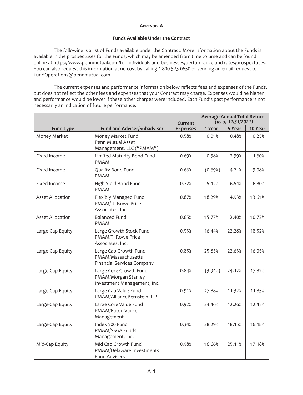#### **APPENDIX A**

#### **Funds Available Under the Contract**

<span id="page-47-0"></span>The following is a list of Funds available under the Contract. More information about the Funds is available in the prospectuses for the Funds, which may be amended from time to time and can be found online at https://www.pennmutual.com/for-individuals-and-businesses/performance-and-rates/prospectuses. You can also request this information at no cost by calling 1-800-523-0650 or sending an email request to FundOperations@pennmutual.com.

The current expenses and performance information below reflects fees and expenses of the Funds, but does not reflect the other fees and expenses that your Contract may charge. Expenses would be higher and performance would be lower if these other charges were included. Each Fund's past performance is not necessarily an indication of future performance.

|                         |                                                                                  | Current         | <b>Average Annual Total Returns</b><br>(as of 12/31/2021) |        |         |
|-------------------------|----------------------------------------------------------------------------------|-----------------|-----------------------------------------------------------|--------|---------|
| <b>Fund Type</b>        | <b>Fund and Adviser/Subadviser</b>                                               | <b>Expenses</b> | 1 Year                                                    | 5 Year | 10 Year |
| Money Market            | Money Market Fund<br>Penn Mutual Asset<br>Management, LLC ("PMAM")               | 0.58%           | 0.01%                                                     | 0.48%  | 0.25%   |
| Fixed Income            | Limited Maturity Bond Fund<br><b>PMAM</b>                                        | 0.69%           | 0.38%                                                     | 2.39%  | 1.60%   |
| Fixed Income            | Quality Bond Fund<br><b>PMAM</b>                                                 | 0.66%           | (0.69%)                                                   | 4.21%  | 3.08%   |
| Fixed Income            | High Yield Bond Fund<br><b>PMAM</b>                                              | 0.72%           | 5.12%                                                     | 6.54%  | 6.80%   |
| <b>Asset Allocation</b> | Flexibly Managed Fund<br>PMAM/T. Rowe Price<br>Associates, Inc.                  | 0.87%           | 18.29%                                                    | 14.93% | 13.61%  |
| <b>Asset Allocation</b> | <b>Balanced Fund</b><br><b>PMAM</b>                                              | 0.65%           | 15.77%                                                    | 12.40% | 10.72%  |
| Large-Cap Equity        | Large Growth Stock Fund<br>PMAM/T. Rowe Price<br>Associates, Inc.                | 0.93%           | 16.44%                                                    | 22.28% | 18.52%  |
| Large-Cap Equity        | Large Cap Growth Fund<br>PMAM/Massachusetts<br><b>Financial Services Company</b> | 0.85%           | 25.85%                                                    | 22.63% | 16.05%  |
| Large-Cap Equity        | Large Core Growth Fund<br>PMAM/Morgan Stanley<br>Investment Management, Inc.     | 0.84%           | (3.94%)                                                   | 24.12% | 17.87%  |
| Large-Cap Equity        | Large Cap Value Fund<br>PMAM/AllianceBernstein, L.P.                             | 0.91%           | 27.88%                                                    | 11.32% | 11.85%  |
| Large-Cap Equity        | Large Core Value Fund<br><b>PMAM/Eaton Vance</b><br>Management                   | 0.92%           | 24.46%                                                    | 12.26% | 12.45%  |
| Large-Cap Equity        | Index 500 Fund<br>PMAM/SSGA Funds<br>Management, Inc.                            | 0.34%           | 28.29%                                                    | 18.15% | 16.18%  |
| Mid-Cap Equity          | Mid Cap Growth Fund<br>PMAM/Delaware Investments<br><b>Fund Advisers</b>         | 0.98%           | 16.66%                                                    | 25.11% | 17.18%  |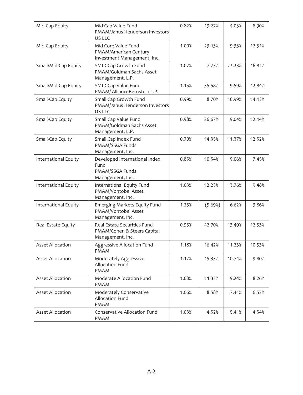| Mid-Cap Equity          | Mid Cap Value Fund<br>PMAM/Janus Henderson Investors<br>US LLC                 | 0.82% | 19.27%  | 4.05%  | 8.90%  |
|-------------------------|--------------------------------------------------------------------------------|-------|---------|--------|--------|
| Mid-Cap Equity          | Mid Core Value Fund<br>PMAM/American Century<br>Investment Management, Inc.    | 1.00% | 23.13%  | 9.33%  | 12.51% |
| Small/Mid-Cap Equity    | SMID Cap Growth Fund<br>PMAM/Goldman Sachs Asset<br>Management, L.P.           | 1.02% | 7.73%   | 22.23% | 16.82% |
| Small/Mid-Cap Equity    | SMID Cap Value Fund<br>PMAM/ AllianceBernstein L.P.                            | 1.15% | 35.58%  | 9.59%  | 12.84% |
| Small-Cap Equity        | Small Cap Growth Fund<br>PMAM/Janus Henderson Investors<br>US LLC              | 0.99% | 8.70%   | 16.99% | 14.13% |
| Small-Cap Equity        | Small Cap Value Fund<br>PMAM/Goldman Sachs Asset<br>Management, L.P.           | 0.98% | 26.67%  | 9.04%  | 12.14% |
| Small-Cap Equity        | Small Cap Index Fund<br>PMAM/SSGA Funds<br>Management, Inc.                    | 0.70% | 14.35%  | 11.37% | 12.52% |
| International Equity    | Developed International Index<br>Fund<br>PMAM/SSGA Funds<br>Management, Inc.   | 0.85% | 10.54%  | 9.06%  | 7.45%  |
| International Equity    | International Equity Fund<br>PMAM/Vontobel Asset<br>Management, Inc.           | 1.03% | 12.23%  | 13.76% | 9.48%  |
| International Equity    | Emerging Markets Equity Fund<br>PMAM/Vontobel Asset<br>Management, Inc.        | 1.25% | (5.69%) | 6.62%  | 3.86%  |
| Real Estate Equity      | Real Estate Securities Fund<br>PMAM/Cohen & Steers Capital<br>Management, Inc. | 0.95% | 42.70%  | 13.49% | 12.53% |
| <b>Asset Allocation</b> | Aggressive Allocation Fund<br><b>PMAM</b>                                      | 1.18% | 16.42%  | 11.23% | 10.53% |
| <b>Asset Allocation</b> | Moderately Aggressive<br>Allocation Fund<br><b>PMAM</b>                        | 1.12% | 15.33%  | 10.74% | 9.80%  |
| <b>Asset Allocation</b> | Moderate Allocation Fund<br><b>PMAM</b>                                        | 1.08% | 11.32%  | 9.24%  | 8.26%  |
| <b>Asset Allocation</b> | Moderately Conservative<br>Allocation Fund<br><b>PMAM</b>                      | 1.06% | 8.58%   | 7.41%  | 6.52%  |
| <b>Asset Allocation</b> | <b>Conservative Allocation Fund</b><br><b>PMAM</b>                             | 1.03% | 4.52%   | 5.41%  | 4.54%  |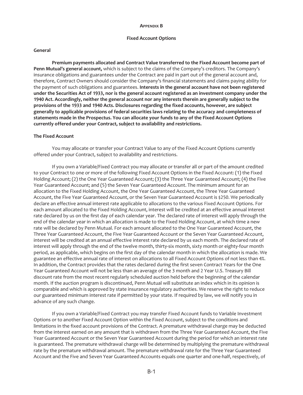#### **APPENDIX B**

#### **Fixed Account Options**

#### <span id="page-49-0"></span>**General**

**Premium payments allocated and Contract Value transferred to the Fixed Account become part of Penn Mutual's general account,** which is subject to the claims of the Company's creditors. The Company's insurance obligations and guarantees under the Contract are paid in part out of the general account and, therefore, Contract Owners should consider the Company's financial statements and claims paying ability for the payment of such obligations and guarantees. **Interests in the general account have not been registered under the Securities Act of 1933, nor is the general account registered as an investment company under the 1940 Act. Accordingly, neither the general account nor any interests therein are generally subject to the provisions of the 1933 and 1940 Acts. Disclosures regarding the fixed accounts, however, are subject generally to applicable provisions of federal securities laws relating to the accuracy and completeness of statements made in the Prospectus. You can allocate your funds to any of the Fixed Account Options currently offered under your Contract, subject to availability and restrictions.**

#### **The Fixed Account**

You may allocate or transfer your Contract Value to any of the Fixed Account Options currently offered under your Contract, subject to availability and restrictions.

If you own a Variable/Fixed Contract you may allocate or transfer all or part of the amount credited to your Contract to one or more of the following Fixed Account Options in the Fixed Account: (1) the Fixed Holding Account; (2) the One Year Guaranteed Account; (3) the Three Year Guaranteed Account; (4) the Five Year Guaranteed Account; and (5) the Seven Year Guaranteed Account. The minimum amount for an allocation to the Fixed Holding Account, the One Year Guaranteed Account, the Three Year Guaranteed Account, the Five Year Guaranteed Account, or the Seven Year Guaranteed Account is \$250. We periodically declare an effective annual interest rate applicable to allocations to the various Fixed Account Options. For each amount allocated to the Fixed Holding Account, interest will be credited at an effective annual interest rate declared by us on the first day of each calendar year. The declared rate of interest will apply through the end of the calendar year in which an allocation is made to the Fixed Holding Account, at which time a new rate will be declared by Penn Mutual. For each amount allocated to the One Year Guaranteed Account, the Three Year Guaranteed Account, the Five Year Guaranteed Account or the Seven Year Guaranteed Account, interest will be credited at an annual effective interest rate declared by us each month. The declared rate of interest will apply through the end of the twelve month, thirty-six month, sixty month or eighty-four month period, as applicable, which begins on the first day of the calendar month in which the allocation is made. We guarantee an effective annual rate of interest on allocations to all Fixed Account Options of not less than 4%. In addition, the Contract provides that the rates declared during the first seven Contract Years for the One Year Guaranteed Account will not be less than an average of the 3 month and 2 Year U.S. Treasury Bill discount rate from the most recent regularly scheduled auction held before the beginning of the calendar month. If the auction program is discontinued, Penn Mutual will substitute an index which in its opinion is comparable and which is approved by state insurance regulatory authorities. We reserve the right to reduce our guaranteed minimum interest rate if permitted by your state. If required by law, we will notify you in advance of any such change.

If you own a Variable/Fixed Contract you may transfer Fixed Account funds to Variable Investment Options or to another Fixed Account Option within the Fixed Account, subject to the conditions and limitations in the fixed account provisions of the Contract. A premature withdrawal charge may be deducted from the interest earned on any amount that is withdrawn from the Three Year Guaranteed Account, the Five Year Guaranteed Account or the Seven Year Guaranteed Account during the period for which an interest rate is guaranteed. The premature withdrawal charge will be determined by multiplying the premature withdrawal rate by the premature withdrawal amount. The premature withdrawal rate for the Three Year Guaranteed Account and the Five and Seven Year Guaranteed Accounts equals one quarter and one-half, respectively, of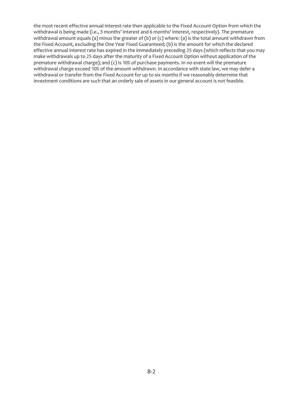the most recent effective annual interest rate then applicable to the Fixed Account Option from which the withdrawal is being made (i.e., 3 months' interest and 6 months' interest, respectively). The premature withdrawal amount equals (a) minus the greater of (b) or (c) where: (a) is the total amount withdrawn from the Fixed Account, excluding the One Year Fixed Guaranteed; (b) is the amount for which the declared effective annual interest rate has expired in the immediately preceding 25 days (which reflects that you may make withdrawals up to 25 days after the maturity of a Fixed Account Option without application of the premature withdrawal charge); and (c) is 10% of purchase payments. In no event will the premature withdrawal charge exceed 10% of the amount withdrawn. In accordance with state law, we may defer a withdrawal or transfer from the Fixed Account for up to six months if we reasonably determine that investment conditions are such that an orderly sale of assets in our general account is not feasible.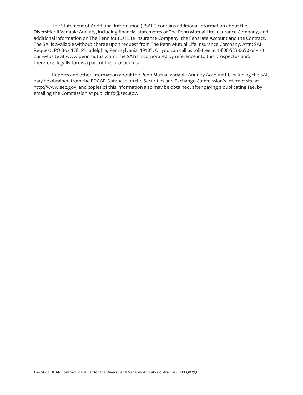The Statement of Additional Information ("SAI") contains additional information about the Diversifier II Variable Annuity, including financial statements of The Penn Mutual Life Insurance Company, and additional information on The Penn Mutual Life Insurance Company, the Separate Account and the Contract. The SAI is available without charge upon request from The Penn Mutual Life Insurance Company, Attn: SAI Request, PO Box 178, Philadelphia, Pennsylvania, 19105. Or you can call us toll-free at 1-800-523-0650 or visit our website at www.pennmutual.com. The SAI is incorporated by reference into this prospectus and, therefore, legally forms a part of this prospectus.

Reports and other information about the Penn Mutual Variable Annuity Account III, including the SAI, may be obtained from the EDGAR Database on the Securities and Exchange Commission's Internet site at http://www.sec.gov, and copies of this information also may be obtained, after paying a duplicating fee, by emailing the Commission at publicinfo@sec.gov.